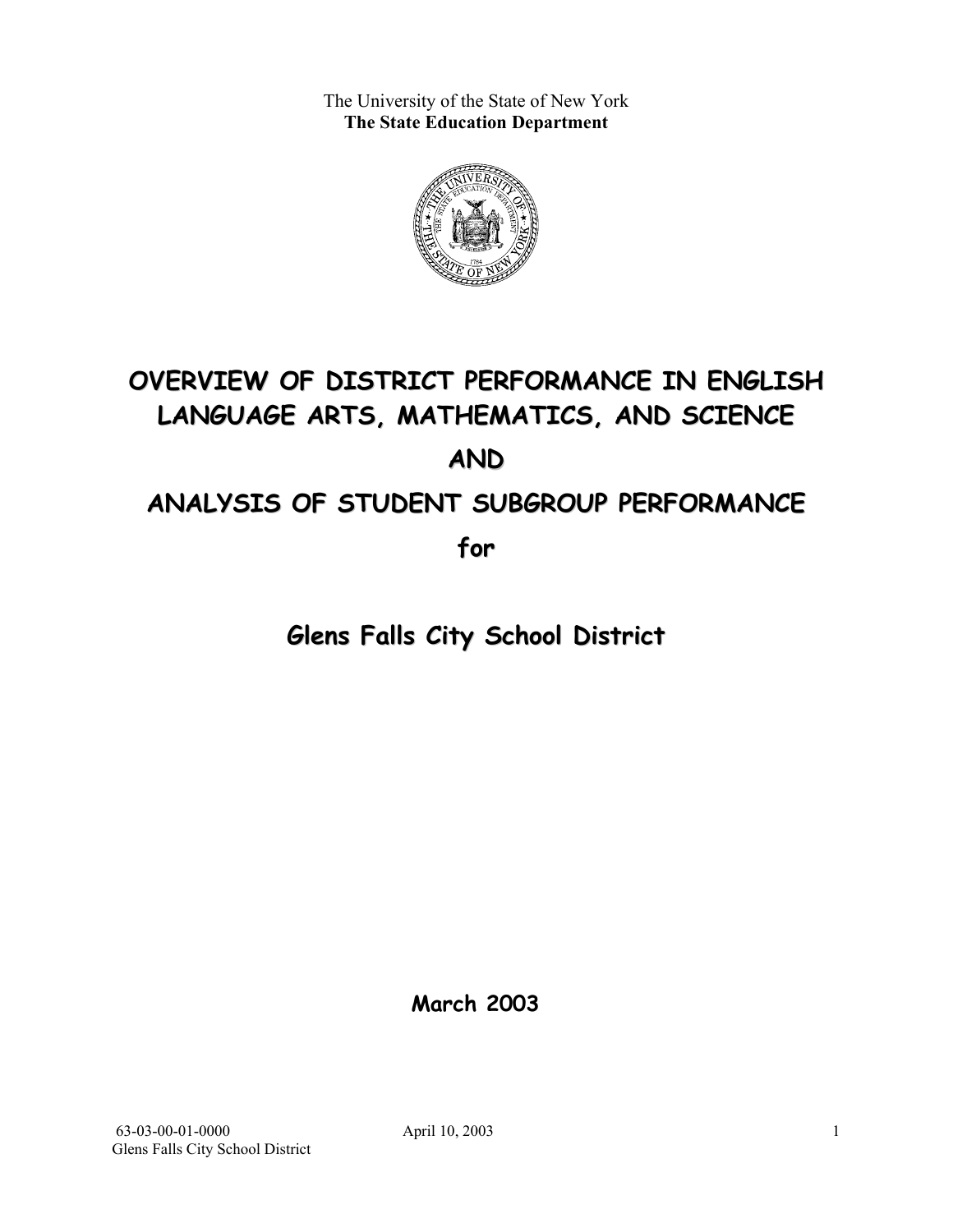The University of the State of New York **The State Education Department** 



# **OVERVIEW OF DISTRICT PERFORMANCE IN ENGLISH LANGUAGE ARTS, MATHEMATICS, AND SCIENCE AND ANALYSIS OF STUDENT SUBGROUP PERFORMANCE**

**for**

**Glens Falls City School District**

**March 2003**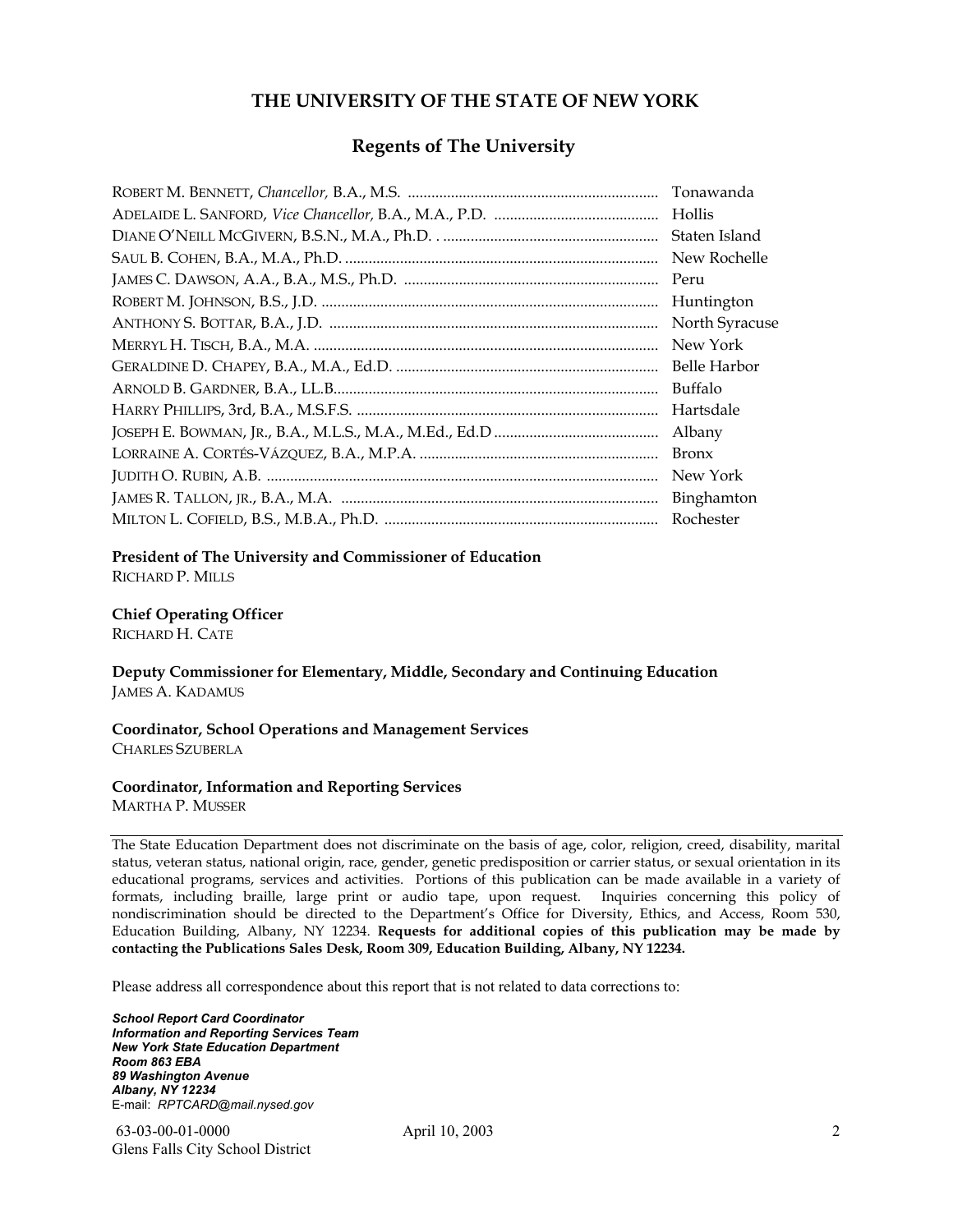#### **THE UNIVERSITY OF THE STATE OF NEW YORK**

#### **Regents of The University**

| Tonawanda      |
|----------------|
| Hollis         |
| Staten Island  |
| New Rochelle   |
| Peru           |
| Huntington     |
| North Syracuse |
| New York       |
| Belle Harbor   |
| Buffalo        |
| Hartsdale      |
| Albany         |
| <b>Bronx</b>   |
| New York       |
|                |
| Rochester      |

#### **President of The University and Commissioner of Education**

RICHARD P. MILLS

#### **Chief Operating Officer**

RICHARD H. CATE

**Deputy Commissioner for Elementary, Middle, Secondary and Continuing Education**  JAMES A. KADAMUS

#### **Coordinator, School Operations and Management Services**  CHARLES SZUBERLA

#### **Coordinator, Information and Reporting Services**

MARTHA P. MUSSER

The State Education Department does not discriminate on the basis of age, color, religion, creed, disability, marital status, veteran status, national origin, race, gender, genetic predisposition or carrier status, or sexual orientation in its educational programs, services and activities. Portions of this publication can be made available in a variety of formats, including braille, large print or audio tape, upon request. Inquiries concerning this policy of nondiscrimination should be directed to the Department's Office for Diversity, Ethics, and Access, Room 530, Education Building, Albany, NY 12234. **Requests for additional copies of this publication may be made by contacting the Publications Sales Desk, Room 309, Education Building, Albany, NY 12234.** 

Please address all correspondence about this report that is not related to data corrections to:

*School Report Card Coordinator Information and Reporting Services Team New York State Education Department Room 863 EBA 89 Washington Avenue Albany, NY 12234*  E-mail: *RPTCARD@mail.nysed.gov*

 63-03-00-01-0000 April 10, 2003 Glens Falls City School District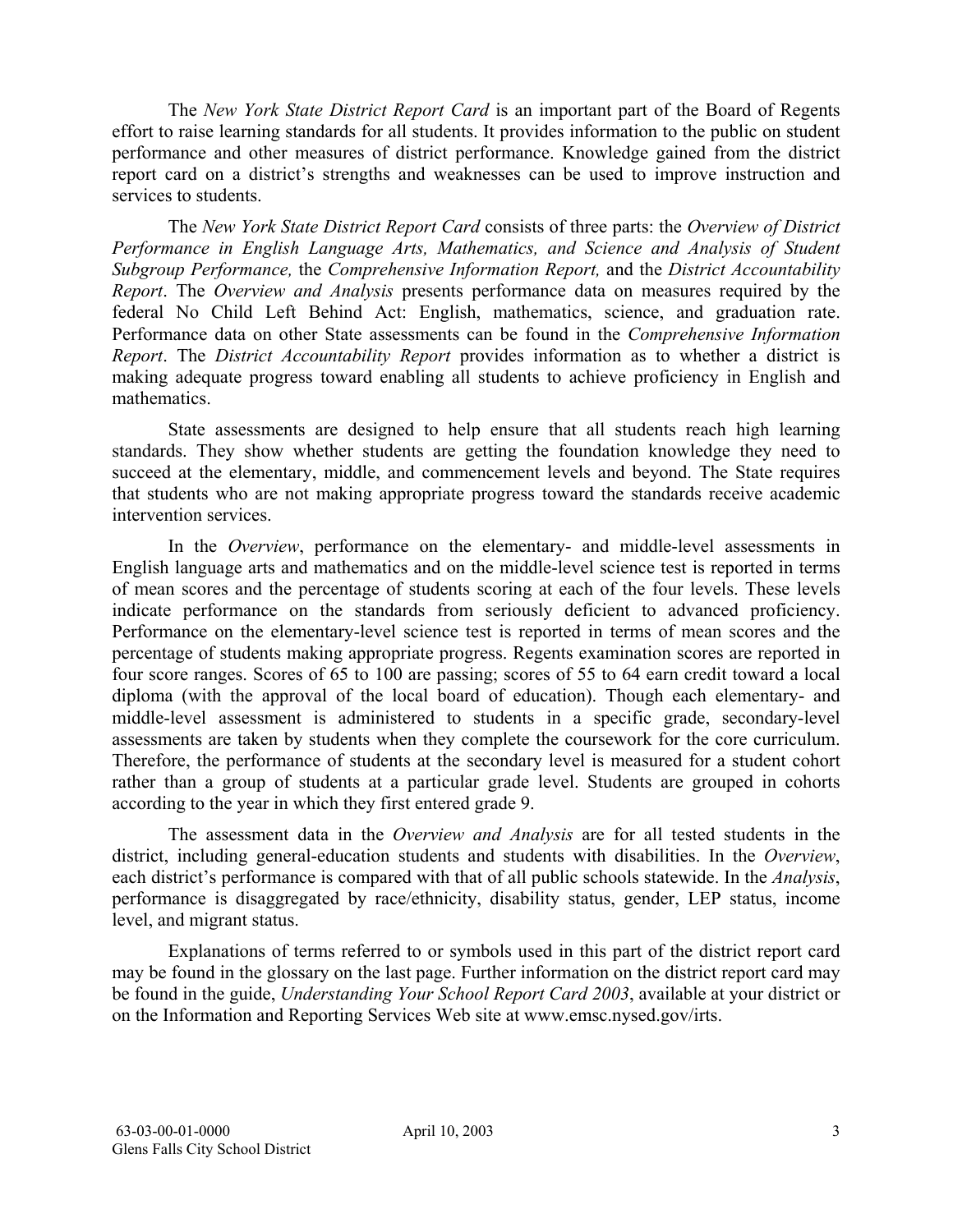The *New York State District Report Card* is an important part of the Board of Regents effort to raise learning standards for all students. It provides information to the public on student performance and other measures of district performance. Knowledge gained from the district report card on a district's strengths and weaknesses can be used to improve instruction and services to students.

The *New York State District Report Card* consists of three parts: the *Overview of District Performance in English Language Arts, Mathematics, and Science and Analysis of Student Subgroup Performance,* the *Comprehensive Information Report,* and the *District Accountability Report*. The *Overview and Analysis* presents performance data on measures required by the federal No Child Left Behind Act: English, mathematics, science, and graduation rate. Performance data on other State assessments can be found in the *Comprehensive Information Report*. The *District Accountability Report* provides information as to whether a district is making adequate progress toward enabling all students to achieve proficiency in English and mathematics.

State assessments are designed to help ensure that all students reach high learning standards. They show whether students are getting the foundation knowledge they need to succeed at the elementary, middle, and commencement levels and beyond. The State requires that students who are not making appropriate progress toward the standards receive academic intervention services.

In the *Overview*, performance on the elementary- and middle-level assessments in English language arts and mathematics and on the middle-level science test is reported in terms of mean scores and the percentage of students scoring at each of the four levels. These levels indicate performance on the standards from seriously deficient to advanced proficiency. Performance on the elementary-level science test is reported in terms of mean scores and the percentage of students making appropriate progress. Regents examination scores are reported in four score ranges. Scores of 65 to 100 are passing; scores of 55 to 64 earn credit toward a local diploma (with the approval of the local board of education). Though each elementary- and middle-level assessment is administered to students in a specific grade, secondary-level assessments are taken by students when they complete the coursework for the core curriculum. Therefore, the performance of students at the secondary level is measured for a student cohort rather than a group of students at a particular grade level. Students are grouped in cohorts according to the year in which they first entered grade 9.

The assessment data in the *Overview and Analysis* are for all tested students in the district, including general-education students and students with disabilities. In the *Overview*, each district's performance is compared with that of all public schools statewide. In the *Analysis*, performance is disaggregated by race/ethnicity, disability status, gender, LEP status, income level, and migrant status.

Explanations of terms referred to or symbols used in this part of the district report card may be found in the glossary on the last page. Further information on the district report card may be found in the guide, *Understanding Your School Report Card 2003*, available at your district or on the Information and Reporting Services Web site at www.emsc.nysed.gov/irts.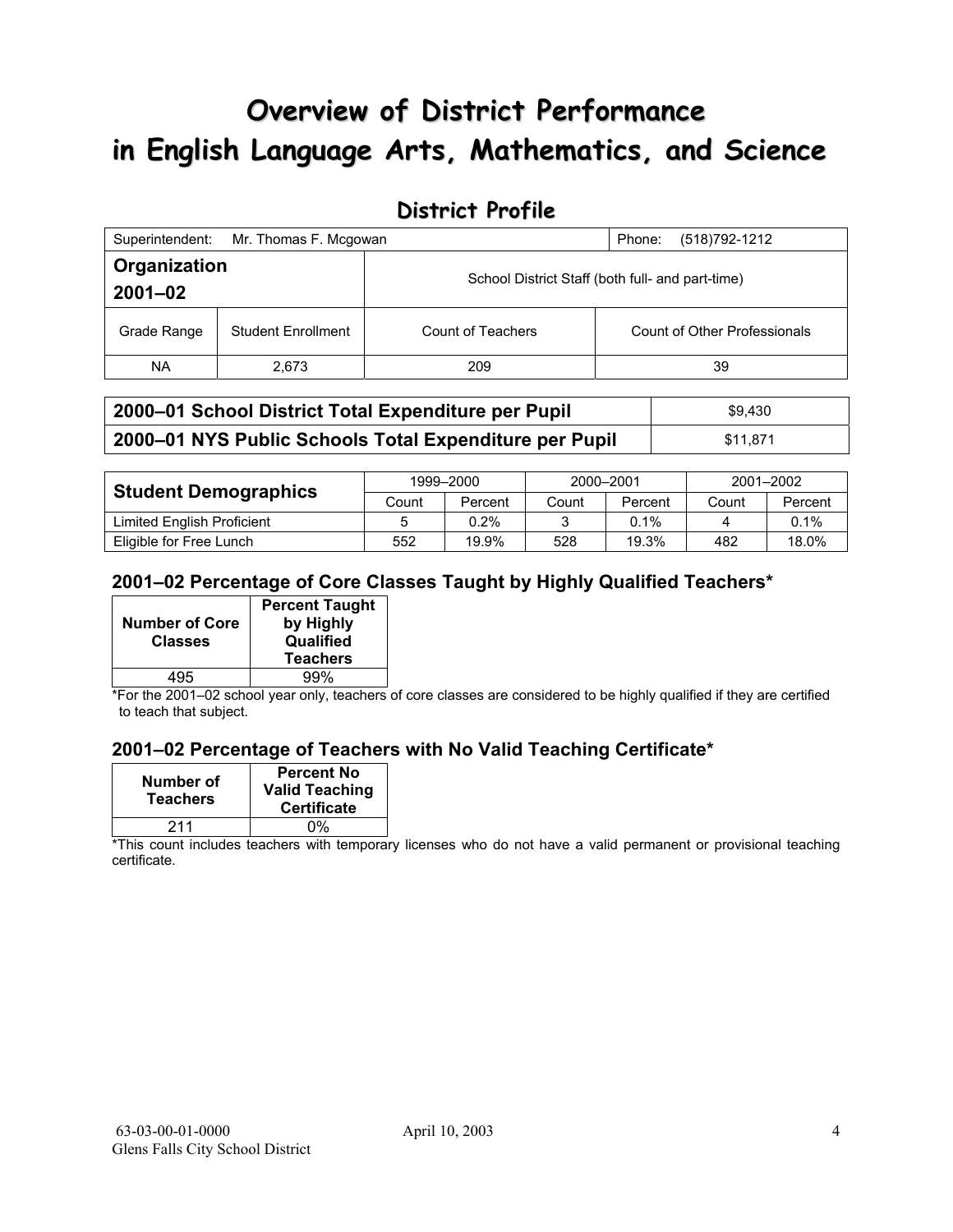# **Overview of District Performance in English Language Arts, Mathematics, and Science**

## **District Profile**

| Superintendent:             | Mr. Thomas F. Mcgowan     |                                                  | (518) 792-1212<br>Phone:     |
|-----------------------------|---------------------------|--------------------------------------------------|------------------------------|
| Organization<br>$2001 - 02$ |                           | School District Staff (both full- and part-time) |                              |
| Grade Range                 | <b>Student Enrollment</b> | Count of Teachers                                | Count of Other Professionals |
| NA.                         | 2,673                     | 209                                              | 39                           |

| 2000–01 School District Total Expenditure per Pupil    | \$9.430  |
|--------------------------------------------------------|----------|
| 2000-01 NYS Public Schools Total Expenditure per Pupil | \$11.871 |

|                             | 1999-2000 |         | 2000-2001 |         | 2001-2002 |         |
|-----------------------------|-----------|---------|-----------|---------|-----------|---------|
| <b>Student Demographics</b> | Count     | Percent | Count     | Percent | Count     | Percent |
| Limited English Proficient  |           | $0.2\%$ |           | $0.1\%$ |           | 0.1%    |
| Eligible for Free Lunch     | 552       | 19.9%   | 528       | 19.3%   | 482       | 18.0%   |

### **2001–02 Percentage of Core Classes Taught by Highly Qualified Teachers\***

| <b>Number of Core</b><br><b>Classes</b> | <b>Percent Taught</b><br>by Highly<br>Qualified |
|-----------------------------------------|-------------------------------------------------|
|                                         | <b>Teachers</b>                                 |
| 495                                     | 99%                                             |

\*For the 2001–02 school year only, teachers of core classes are considered to be highly qualified if they are certified to teach that subject.

### **2001–02 Percentage of Teachers with No Valid Teaching Certificate\***

| Number of<br><b>Teachers</b> | <b>Percent No</b><br><b>Valid Teaching</b><br><b>Certificate</b> |
|------------------------------|------------------------------------------------------------------|
| 211                          | 0%                                                               |

\*This count includes teachers with temporary licenses who do not have a valid permanent or provisional teaching certificate.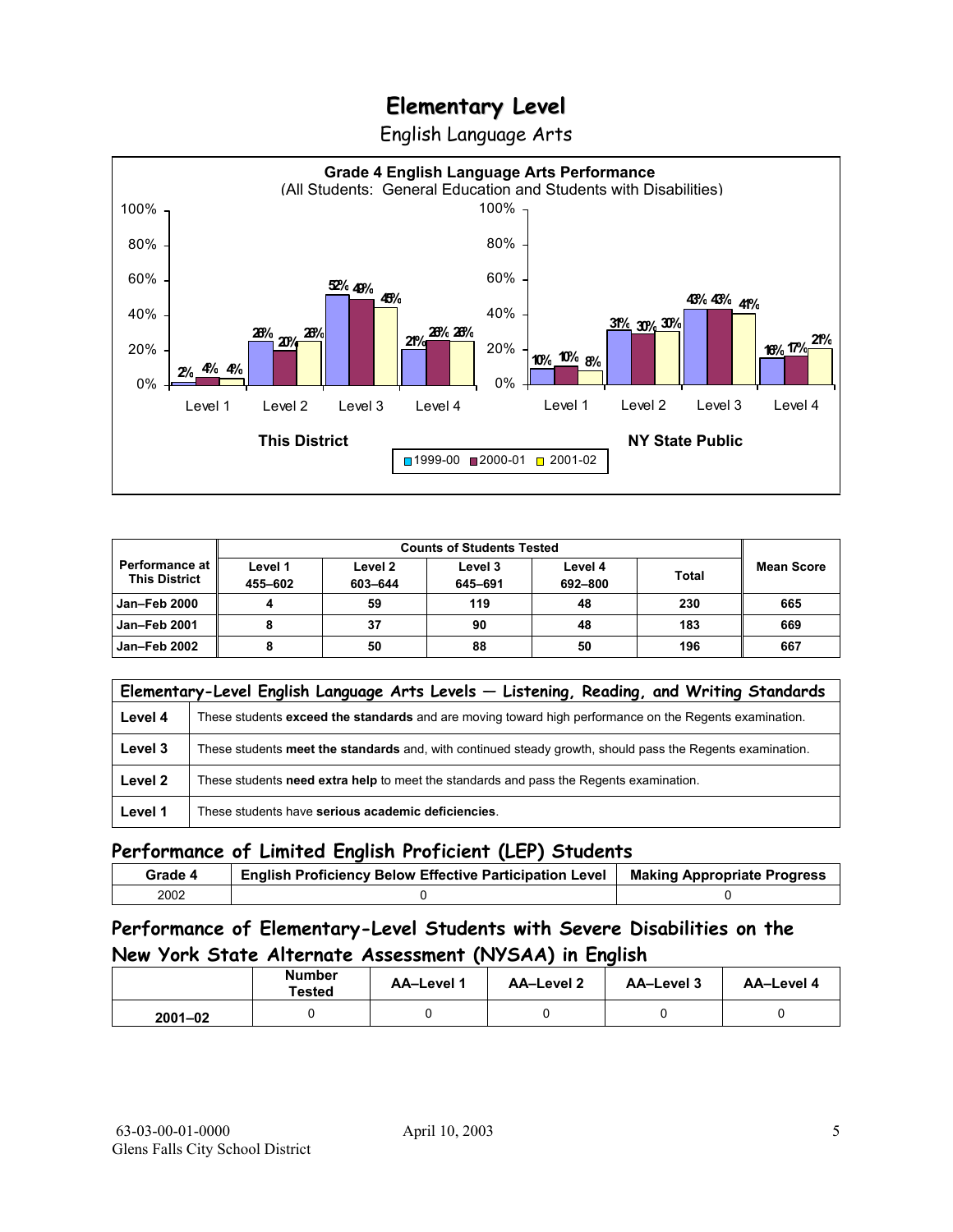English Language Arts



|                                               |                    | <b>Counts of Students Tested</b> |                    |                    |              |                   |
|-----------------------------------------------|--------------------|----------------------------------|--------------------|--------------------|--------------|-------------------|
| <b>Performance at</b><br><b>This District</b> | Level 1<br>455-602 | Level 2<br>603-644               | Level 3<br>645-691 | Level 4<br>692-800 | <b>Total</b> | <b>Mean Score</b> |
| <b>Jan-Feb 2000</b>                           |                    | 59                               | 119                | 48                 | 230          | 665               |
| Jan-Feb 2001                                  |                    | 37                               | 90                 | 48                 | 183          | 669               |
| Jan-Feb 2002                                  |                    | 50                               | 88                 | 50                 | 196          | 667               |

|         | Elementary-Level English Language Arts Levels - Listening, Reading, and Writing Standards                 |
|---------|-----------------------------------------------------------------------------------------------------------|
| Level 4 | These students exceed the standards and are moving toward high performance on the Regents examination.    |
| Level 3 | These students meet the standards and, with continued steady growth, should pass the Regents examination. |
| Level 2 | These students need extra help to meet the standards and pass the Regents examination.                    |
| Level 1 | These students have serious academic deficiencies.                                                        |

### **Performance of Limited English Proficient (LEP) Students**

| Grade 4 | <b>English Proficiency Below Effective Participation Level</b> | <b>Making Appropriate Progress</b> |
|---------|----------------------------------------------------------------|------------------------------------|
| 2002    |                                                                |                                    |

### **Performance of Elementary-Level Students with Severe Disabilities on the New York State Alternate Assessment (NYSAA) in English**

|             | Number<br><b>Tested</b> | <b>AA-Level 1</b> | AA-Level 2 | AA-Level 3 | AA-Level 4 |
|-------------|-------------------------|-------------------|------------|------------|------------|
| $2001 - 02$ |                         |                   |            |            |            |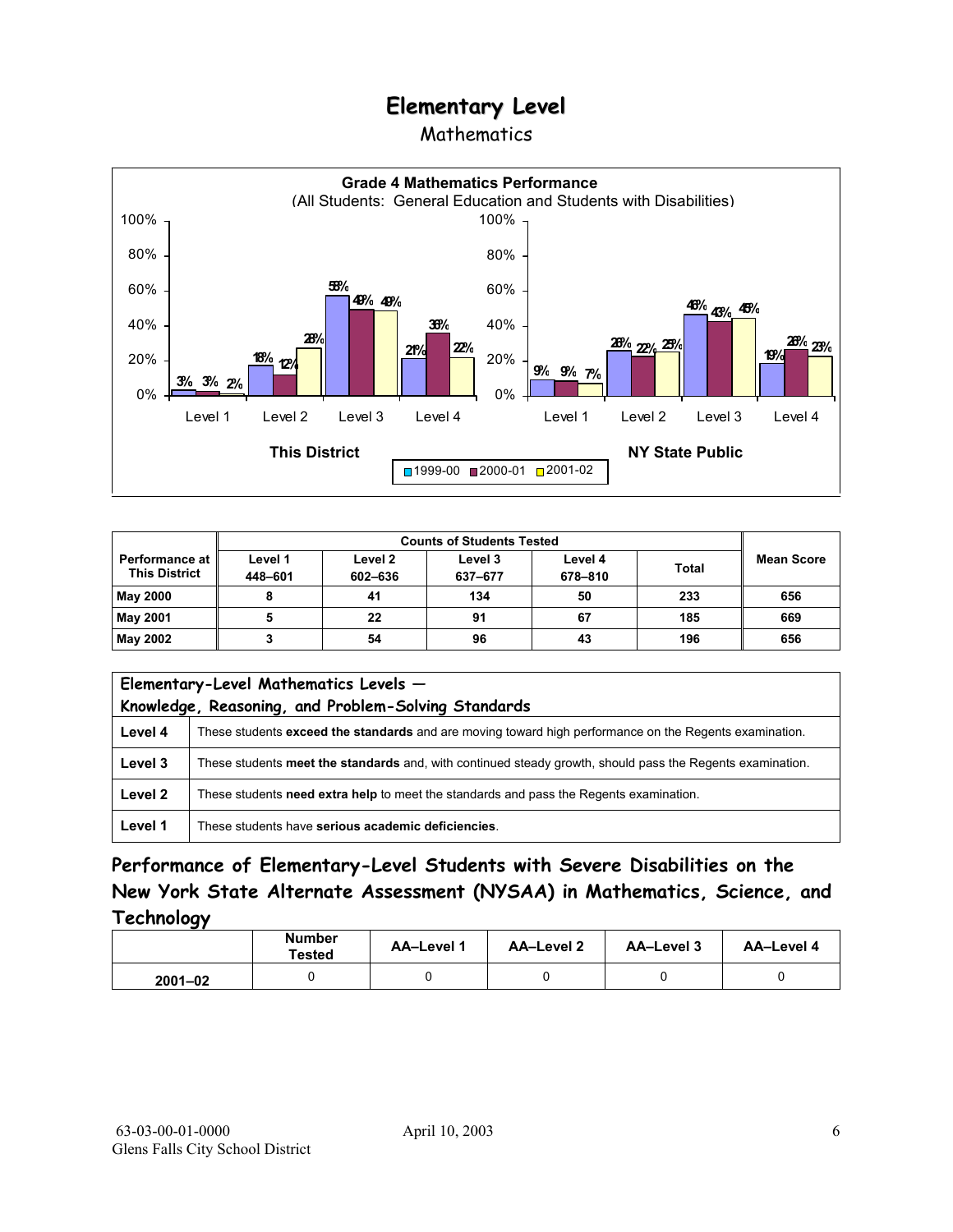### Mathematics



| <b>Counts of Students Tested</b>                |                    |                    |                    |                    |              |                   |
|-------------------------------------------------|--------------------|--------------------|--------------------|--------------------|--------------|-------------------|
| <b>Performance at I</b><br><b>This District</b> | Level 1<br>448-601 | Level 2<br>602-636 | Level 3<br>637-677 | Level 4<br>678-810 | <b>Total</b> | <b>Mean Score</b> |
| <b>May 2000</b>                                 |                    | 41                 | 134                | 50                 | 233          | 656               |
| May 2001                                        |                    | 22                 | 91                 | 67                 | 185          | 669               |
| May 2002                                        |                    | 54                 | 96                 | 43                 | 196          | 656               |

|         | Elementary-Level Mathematics Levels -<br>Knowledge, Reasoning, and Problem-Solving Standards              |  |  |  |
|---------|-----------------------------------------------------------------------------------------------------------|--|--|--|
| Level 4 | These students exceed the standards and are moving toward high performance on the Regents examination.    |  |  |  |
| Level 3 | These students meet the standards and, with continued steady growth, should pass the Regents examination. |  |  |  |
| Level 2 | These students need extra help to meet the standards and pass the Regents examination.                    |  |  |  |
| Level 1 | These students have serious academic deficiencies.                                                        |  |  |  |

**Performance of Elementary-Level Students with Severe Disabilities on the New York State Alternate Assessment (NYSAA) in Mathematics, Science, and Technology** 

|             | <b>Number</b><br><b>Tested</b> | AA-Level 1 | <b>AA-Level 2</b> | AA-Level 3 | AA-Level 4 |
|-------------|--------------------------------|------------|-------------------|------------|------------|
| $2001 - 02$ |                                |            |                   |            |            |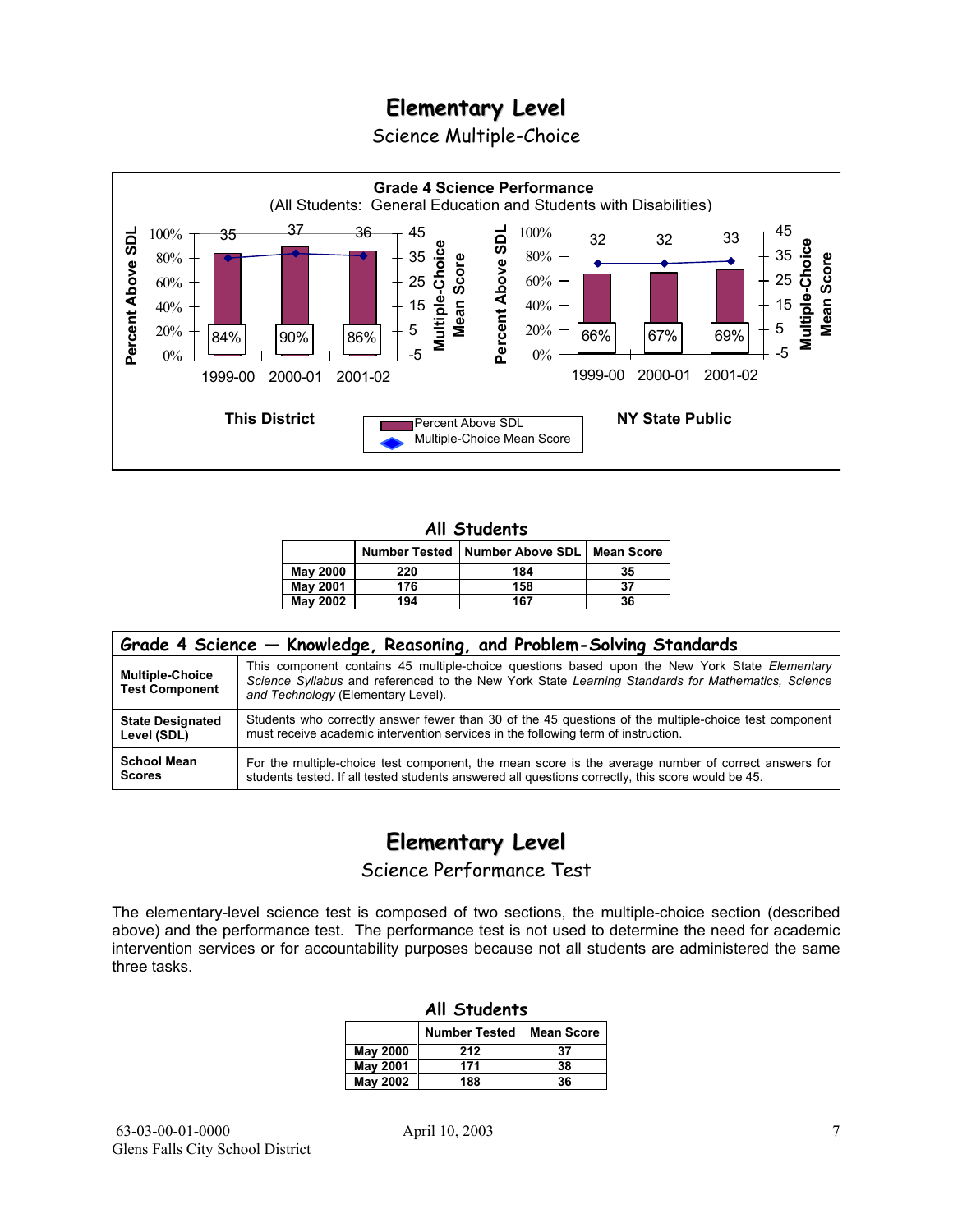Science Multiple-Choice



#### **All Students**

|                 |     | Number Tested   Number Above SDL   Mean Score |    |
|-----------------|-----|-----------------------------------------------|----|
| <b>May 2000</b> | 220 | 184                                           | 35 |
| <b>May 2001</b> | 176 | 158                                           | 37 |
| <b>May 2002</b> | 194 | 167                                           | 36 |

| Grade 4 Science - Knowledge, Reasoning, and Problem-Solving Standards |                                                                                                                                                                                                                                          |  |  |  |  |
|-----------------------------------------------------------------------|------------------------------------------------------------------------------------------------------------------------------------------------------------------------------------------------------------------------------------------|--|--|--|--|
| <b>Multiple-Choice</b><br><b>Test Component</b>                       | This component contains 45 multiple-choice questions based upon the New York State Elementary<br>Science Syllabus and referenced to the New York State Learning Standards for Mathematics, Science<br>and Technology (Elementary Level). |  |  |  |  |
| <b>State Designated</b>                                               | Students who correctly answer fewer than 30 of the 45 questions of the multiple-choice test component                                                                                                                                    |  |  |  |  |
| Level (SDL)                                                           | must receive academic intervention services in the following term of instruction.                                                                                                                                                        |  |  |  |  |
| <b>School Mean</b>                                                    | For the multiple-choice test component, the mean score is the average number of correct answers for                                                                                                                                      |  |  |  |  |
| <b>Scores</b>                                                         | students tested. If all tested students answered all questions correctly, this score would be 45.                                                                                                                                        |  |  |  |  |

## **Elementary Level**

Science Performance Test

The elementary-level science test is composed of two sections, the multiple-choice section (described above) and the performance test. The performance test is not used to determine the need for academic intervention services or for accountability purposes because not all students are administered the same three tasks.

| All Students                              |     |    |  |  |  |
|-------------------------------------------|-----|----|--|--|--|
| <b>Number Tested</b><br><b>Mean Score</b> |     |    |  |  |  |
| May 2000                                  | 212 | 37 |  |  |  |
| <b>May 2001</b>                           | 171 | 38 |  |  |  |
| May 2002<br>36<br>188                     |     |    |  |  |  |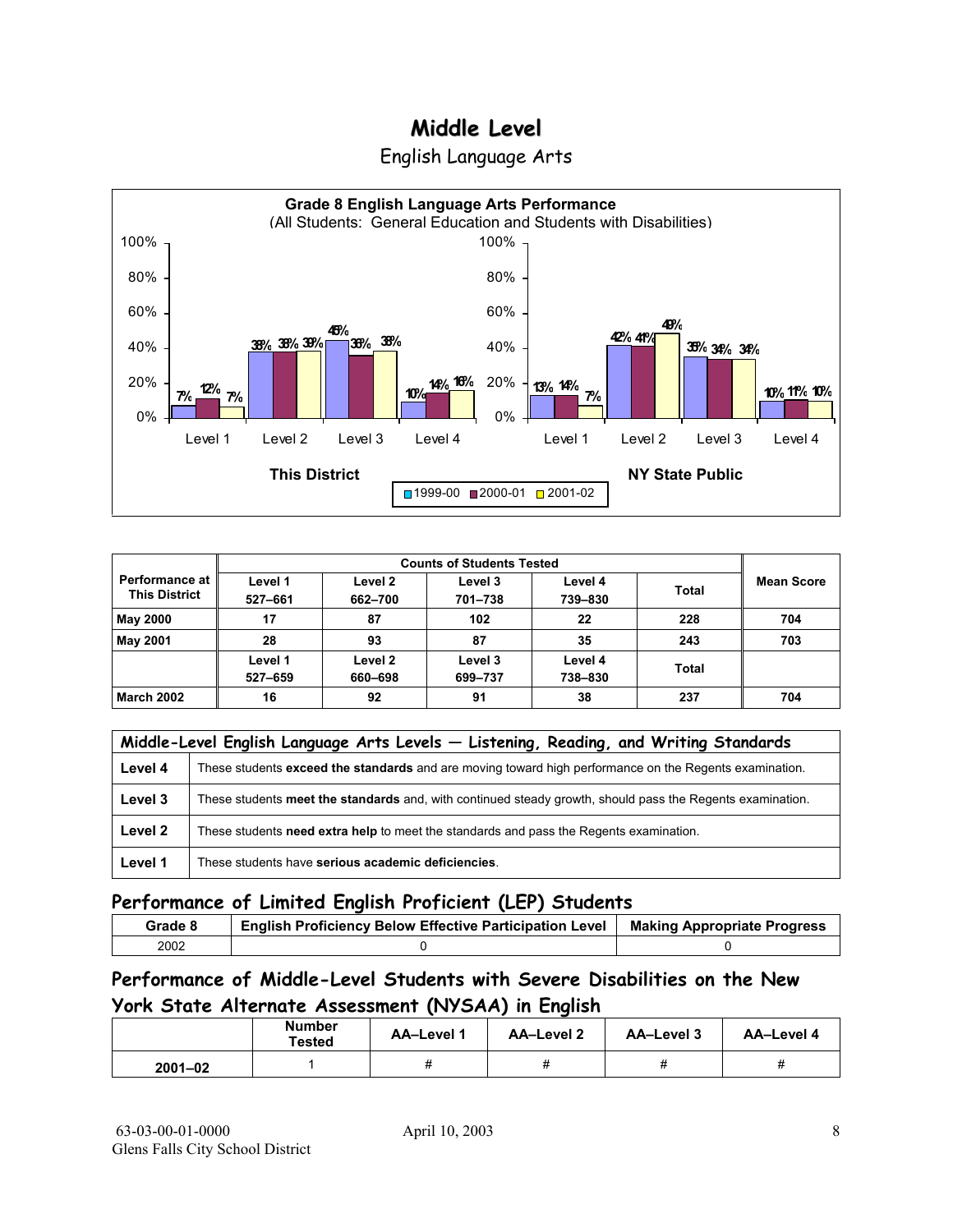



|                                        | <b>Counts of Students Tested</b> |                    |                    |                    |              |                   |  |
|----------------------------------------|----------------------------------|--------------------|--------------------|--------------------|--------------|-------------------|--|
| Performance at<br><b>This District</b> | Level 1<br>527-661               | Level 2<br>662-700 | Level 3<br>701-738 | Level 4<br>739-830 | <b>Total</b> | <b>Mean Score</b> |  |
| <b>May 2000</b>                        | 17                               | 87                 | 102                | 22                 | 228          | 704               |  |
| <b>May 2001</b>                        | 28                               | 93                 | 87                 | 35                 | 243          | 703               |  |
|                                        | Level 1<br>527-659               | Level 2<br>660-698 | Level 3<br>699-737 | Level 4<br>738-830 | <b>Total</b> |                   |  |
| <b>March 2002</b>                      | 16                               | 92                 | 91                 | 38                 | 237          | 704               |  |

|         | Middle-Level English Language Arts Levels - Listening, Reading, and Writing Standards                     |  |  |  |  |
|---------|-----------------------------------------------------------------------------------------------------------|--|--|--|--|
| Level 4 | These students exceed the standards and are moving toward high performance on the Regents examination.    |  |  |  |  |
| Level 3 | These students meet the standards and, with continued steady growth, should pass the Regents examination. |  |  |  |  |
| Level 2 | These students <b>need extra help</b> to meet the standards and pass the Regents examination.             |  |  |  |  |
| Level 1 | These students have serious academic deficiencies.                                                        |  |  |  |  |

### **Performance of Limited English Proficient (LEP) Students**

| Grade 8 | <b>English Proficiency Below Effective Participation Level</b> | <b>Making Appropriate Progress</b> |
|---------|----------------------------------------------------------------|------------------------------------|
| 2002    |                                                                |                                    |

### **Performance of Middle-Level Students with Severe Disabilities on the New York State Alternate Assessment (NYSAA) in English**

|             | <b>Number</b><br><b>Tested</b> | <b>AA-Level 1</b> | AA-Level 2 | AA-Level 3 | AA-Level 4 |
|-------------|--------------------------------|-------------------|------------|------------|------------|
| $2001 - 02$ |                                | 11                | 11         | π          | π          |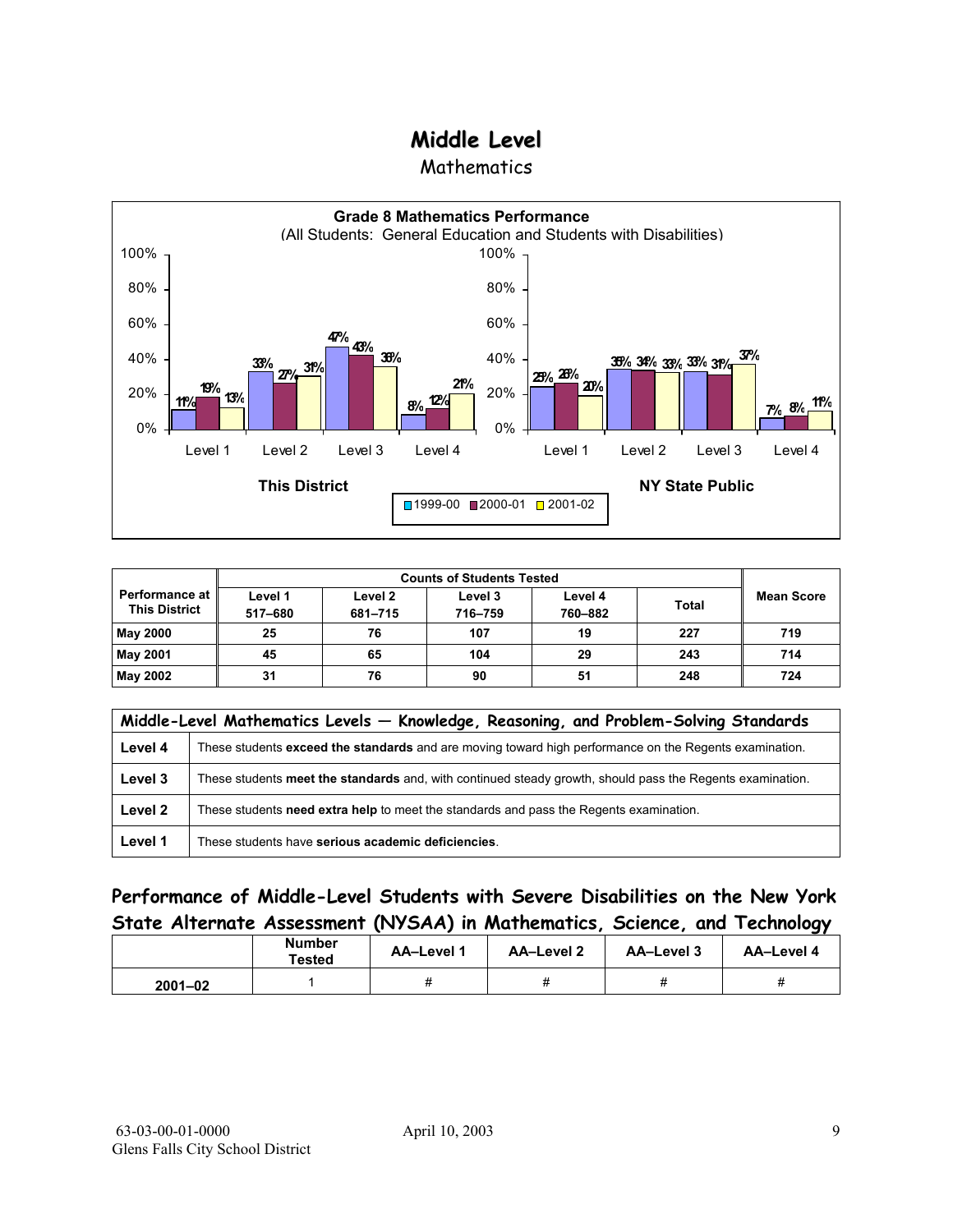**Mathematics** 



| <b>Performance at</b><br><b>This District</b> | Level 1<br>517-680 | Level 2<br>681-715 | Level 3<br>716-759 | Level 4<br>760-882 | <b>Total</b> | <b>Mean Score</b> |
|-----------------------------------------------|--------------------|--------------------|--------------------|--------------------|--------------|-------------------|
| <b>May 2000</b>                               | 25                 | 76                 | 107                | 19                 | 227          | 719               |
| <b>May 2001</b>                               | 45                 | 65                 | 104                | 29                 | 243          | 714               |
| <b>May 2002</b>                               | 31                 | 76                 | 90                 | 51                 | 248          | 724               |

|         | Middle-Level Mathematics Levels - Knowledge, Reasoning, and Problem-Solving Standards                     |  |  |  |  |
|---------|-----------------------------------------------------------------------------------------------------------|--|--|--|--|
| Level 4 | These students exceed the standards and are moving toward high performance on the Regents examination.    |  |  |  |  |
| Level 3 | These students meet the standards and, with continued steady growth, should pass the Regents examination. |  |  |  |  |
| Level 2 | These students need extra help to meet the standards and pass the Regents examination.                    |  |  |  |  |
| Level 1 | These students have serious academic deficiencies.                                                        |  |  |  |  |

### **Performance of Middle-Level Students with Severe Disabilities on the New York State Alternate Assessment (NYSAA) in Mathematics, Science, and Technology**

|             | Number<br>Tested | <b>AA-Level 1</b> | AA-Level 2 | AA-Level 3 | AA-Level 4 |
|-------------|------------------|-------------------|------------|------------|------------|
| $2001 - 02$ |                  | 11                |            |            |            |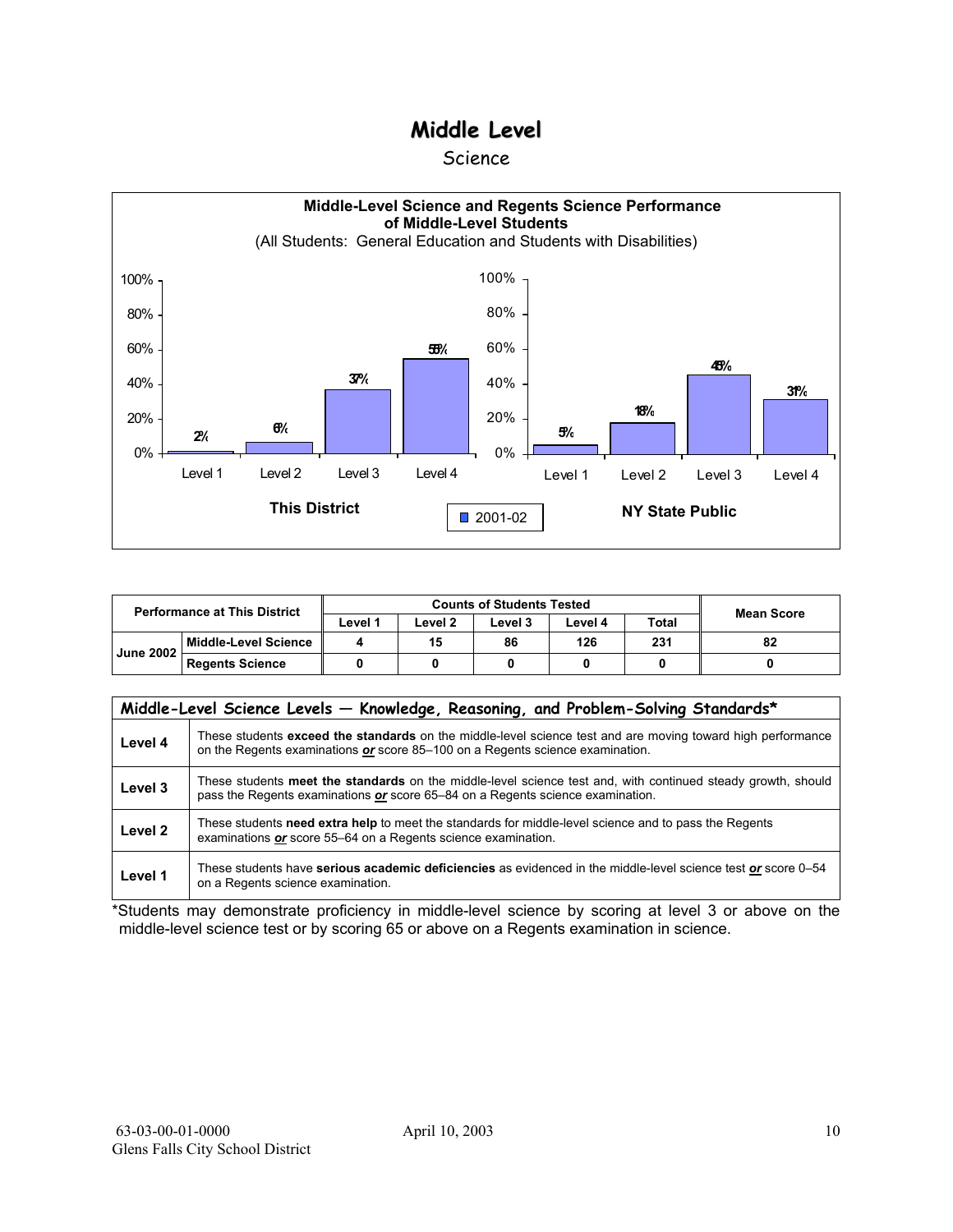#### Science



| <b>Performance at This District</b> |                        | <b>Counts of Students Tested</b> |         |         |         |              | <b>Mean Score</b> |
|-------------------------------------|------------------------|----------------------------------|---------|---------|---------|--------------|-------------------|
|                                     |                        | ∟evel 1                          | ∟evel 2 | Level 3 | Level 4 | <b>Total</b> |                   |
| Middle-Level Science                |                        |                                  | 15      | 86      | 126     | 231          | 82                |
| <b>June 2002</b>                    | <b>Regents Science</b> |                                  |         |         |         |              |                   |

|                    | Middle-Level Science Levels - Knowledge, Reasoning, and Problem-Solving Standards*                                                                                                             |
|--------------------|------------------------------------------------------------------------------------------------------------------------------------------------------------------------------------------------|
| Level 4            | These students exceed the standards on the middle-level science test and are moving toward high performance<br>on the Regents examinations or score 85-100 on a Regents science examination.   |
| Level 3            | These students meet the standards on the middle-level science test and, with continued steady growth, should<br>pass the Regents examinations or score 65–84 on a Regents science examination. |
| Level <sub>2</sub> | These students need extra help to meet the standards for middle-level science and to pass the Regents<br>examinations or score 55–64 on a Regents science examination.                         |
| Level 1            | These students have serious academic deficiencies as evidenced in the middle-level science test or score 0–54<br>on a Regents science examination.                                             |

\*Students may demonstrate proficiency in middle-level science by scoring at level 3 or above on the middle-level science test or by scoring 65 or above on a Regents examination in science.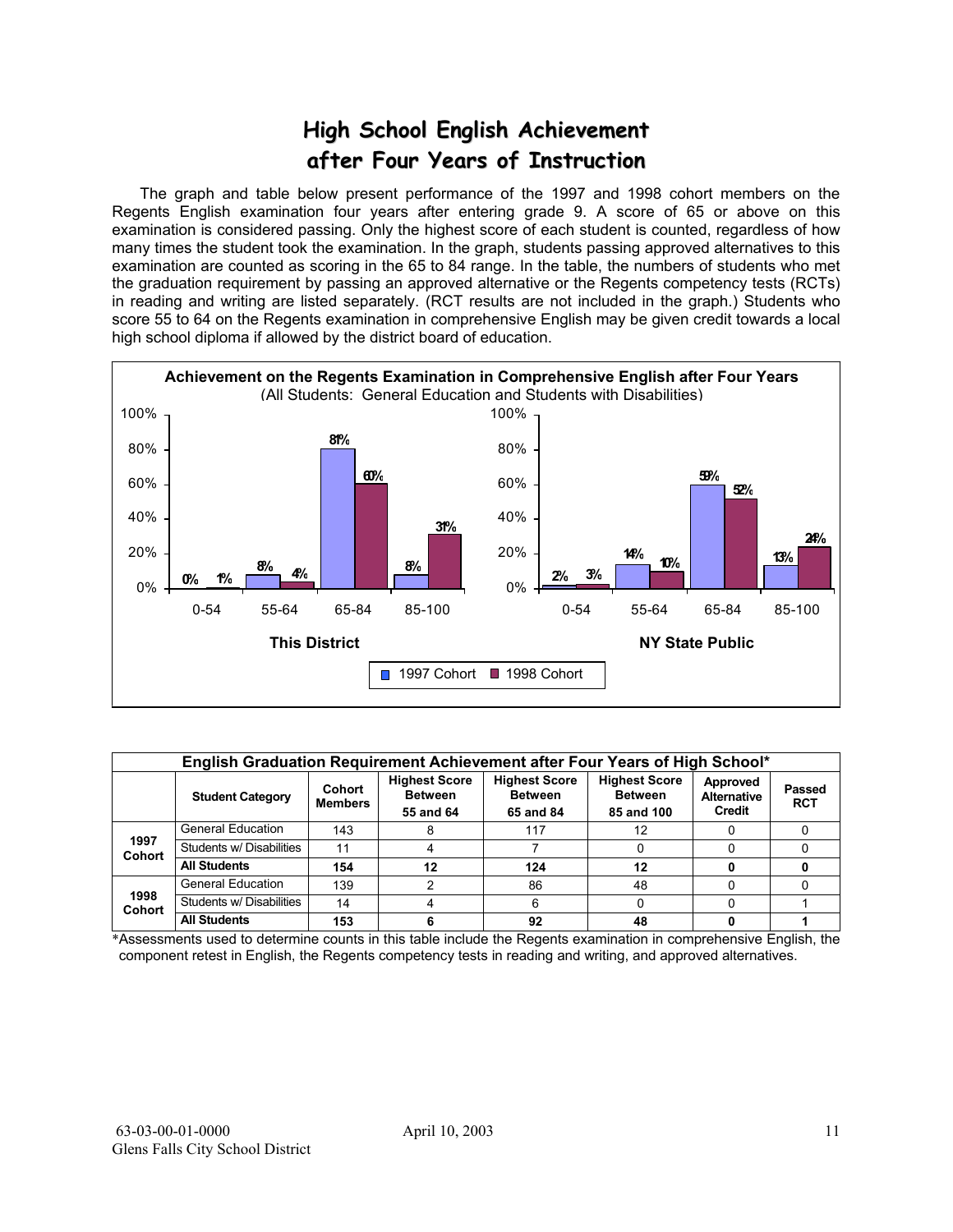## **High School English Achievement after Four Years of Instruction**

 The graph and table below present performance of the 1997 and 1998 cohort members on the Regents English examination four years after entering grade 9. A score of 65 or above on this examination is considered passing. Only the highest score of each student is counted, regardless of how many times the student took the examination. In the graph, students passing approved alternatives to this examination are counted as scoring in the 65 to 84 range. In the table, the numbers of students who met the graduation requirement by passing an approved alternative or the Regents competency tests (RCTs) in reading and writing are listed separately. (RCT results are not included in the graph.) Students who score 55 to 64 on the Regents examination in comprehensive English may be given credit towards a local high school diploma if allowed by the district board of education.



|                       | English Graduation Requirement Achievement after Four Years of High School* |                          |                                                     |                                                     |                                                      |                                          |                      |  |  |  |  |  |  |
|-----------------------|-----------------------------------------------------------------------------|--------------------------|-----------------------------------------------------|-----------------------------------------------------|------------------------------------------------------|------------------------------------------|----------------------|--|--|--|--|--|--|
|                       | <b>Student Category</b>                                                     | Cohort<br><b>Members</b> | <b>Highest Score</b><br><b>Between</b><br>55 and 64 | <b>Highest Score</b><br><b>Between</b><br>65 and 84 | <b>Highest Score</b><br><b>Between</b><br>85 and 100 | Approved<br><b>Alternative</b><br>Credit | Passed<br><b>RCT</b> |  |  |  |  |  |  |
|                       | <b>General Education</b>                                                    | 143                      |                                                     | 117                                                 | 12                                                   |                                          |                      |  |  |  |  |  |  |
| 1997<br><b>Cohort</b> | Students w/ Disabilities                                                    | 11                       |                                                     |                                                     |                                                      |                                          |                      |  |  |  |  |  |  |
|                       | <b>All Students</b>                                                         | 154                      | 12                                                  | 124                                                 | 12                                                   |                                          |                      |  |  |  |  |  |  |
|                       | <b>General Education</b>                                                    | 139                      |                                                     | 86                                                  | 48                                                   |                                          |                      |  |  |  |  |  |  |
| 1998<br><b>Cohort</b> | Students w/ Disabilities                                                    | 14                       |                                                     | ิค                                                  |                                                      |                                          |                      |  |  |  |  |  |  |
|                       | <b>All Students</b>                                                         | 153                      |                                                     | 92                                                  | 48                                                   |                                          |                      |  |  |  |  |  |  |

\*Assessments used to determine counts in this table include the Regents examination in comprehensive English, the component retest in English, the Regents competency tests in reading and writing, and approved alternatives.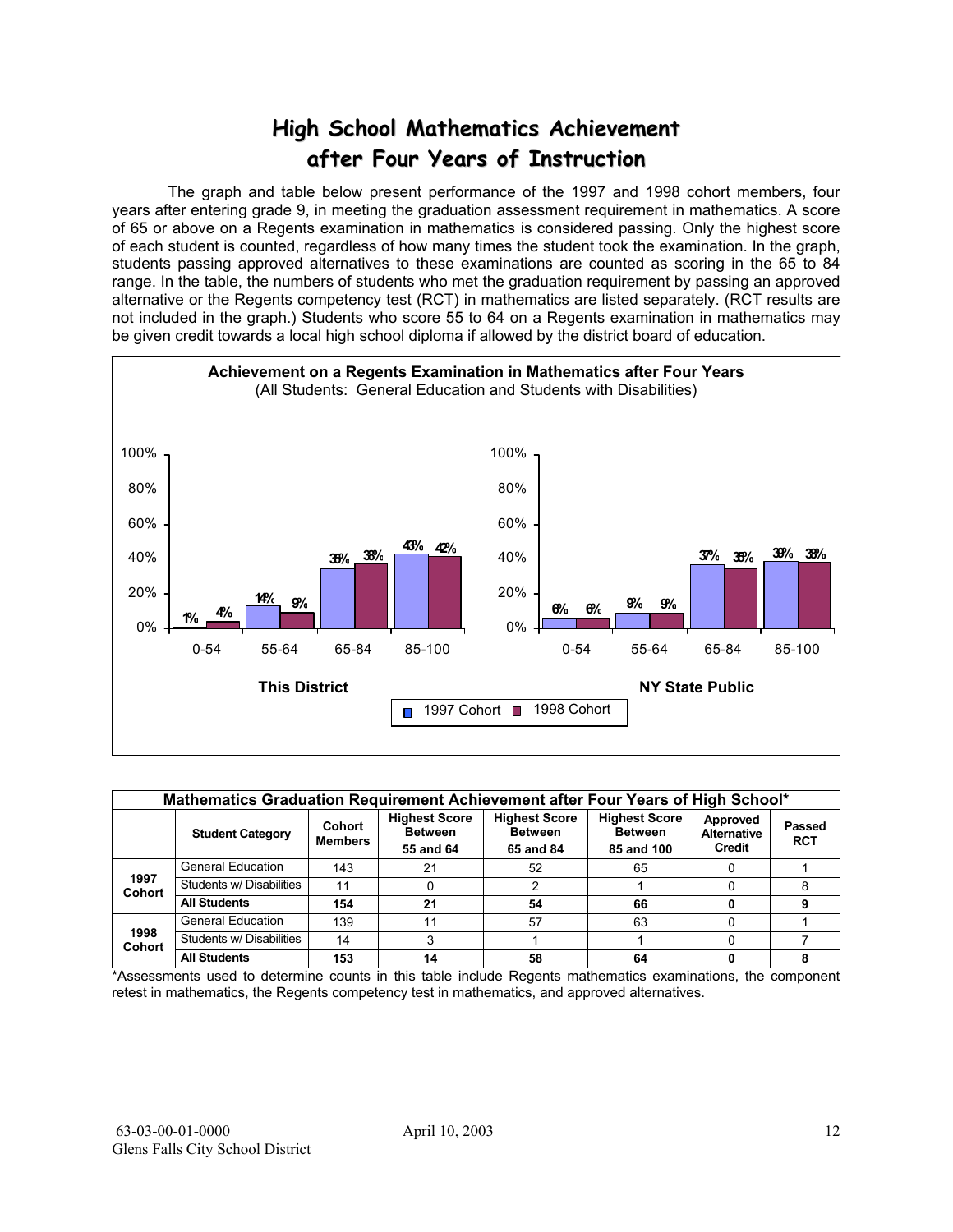## **High School Mathematics Achievement after Four Years of Instruction**

 The graph and table below present performance of the 1997 and 1998 cohort members, four years after entering grade 9, in meeting the graduation assessment requirement in mathematics. A score of 65 or above on a Regents examination in mathematics is considered passing. Only the highest score of each student is counted, regardless of how many times the student took the examination. In the graph, students passing approved alternatives to these examinations are counted as scoring in the 65 to 84 range. In the table, the numbers of students who met the graduation requirement by passing an approved alternative or the Regents competency test (RCT) in mathematics are listed separately. (RCT results are not included in the graph.) Students who score 55 to 64 on a Regents examination in mathematics may be given credit towards a local high school diploma if allowed by the district board of education.



|                       | Mathematics Graduation Requirement Achievement after Four Years of High School* |                                                                                 |    |                                                     |                                                      |                                          |                      |  |  |  |  |  |  |
|-----------------------|---------------------------------------------------------------------------------|---------------------------------------------------------------------------------|----|-----------------------------------------------------|------------------------------------------------------|------------------------------------------|----------------------|--|--|--|--|--|--|
|                       | <b>Student Category</b>                                                         | <b>Highest Score</b><br>Cohort<br><b>Between</b><br><b>Members</b><br>55 and 64 |    | <b>Highest Score</b><br><b>Between</b><br>65 and 84 | <b>Highest Score</b><br><b>Between</b><br>85 and 100 | Approved<br><b>Alternative</b><br>Credit | Passed<br><b>RCT</b> |  |  |  |  |  |  |
|                       | <b>General Education</b>                                                        | 143                                                                             | 21 | 52                                                  | 65                                                   |                                          |                      |  |  |  |  |  |  |
| 1997<br><b>Cohort</b> | Students w/ Disabilities                                                        | 11                                                                              | 0  |                                                     |                                                      |                                          |                      |  |  |  |  |  |  |
|                       | <b>All Students</b>                                                             | 154                                                                             | 21 | 54                                                  | 66                                                   |                                          |                      |  |  |  |  |  |  |
|                       | <b>General Education</b>                                                        | 139                                                                             | 11 | 57                                                  | 63                                                   |                                          |                      |  |  |  |  |  |  |
| 1998<br><b>Cohort</b> | Students w/ Disabilities                                                        | 14                                                                              | 3  |                                                     |                                                      |                                          |                      |  |  |  |  |  |  |
|                       | <b>All Students</b>                                                             | 153                                                                             | 14 | 58                                                  | 64                                                   |                                          |                      |  |  |  |  |  |  |

\*Assessments used to determine counts in this table include Regents mathematics examinations, the component retest in mathematics, the Regents competency test in mathematics, and approved alternatives.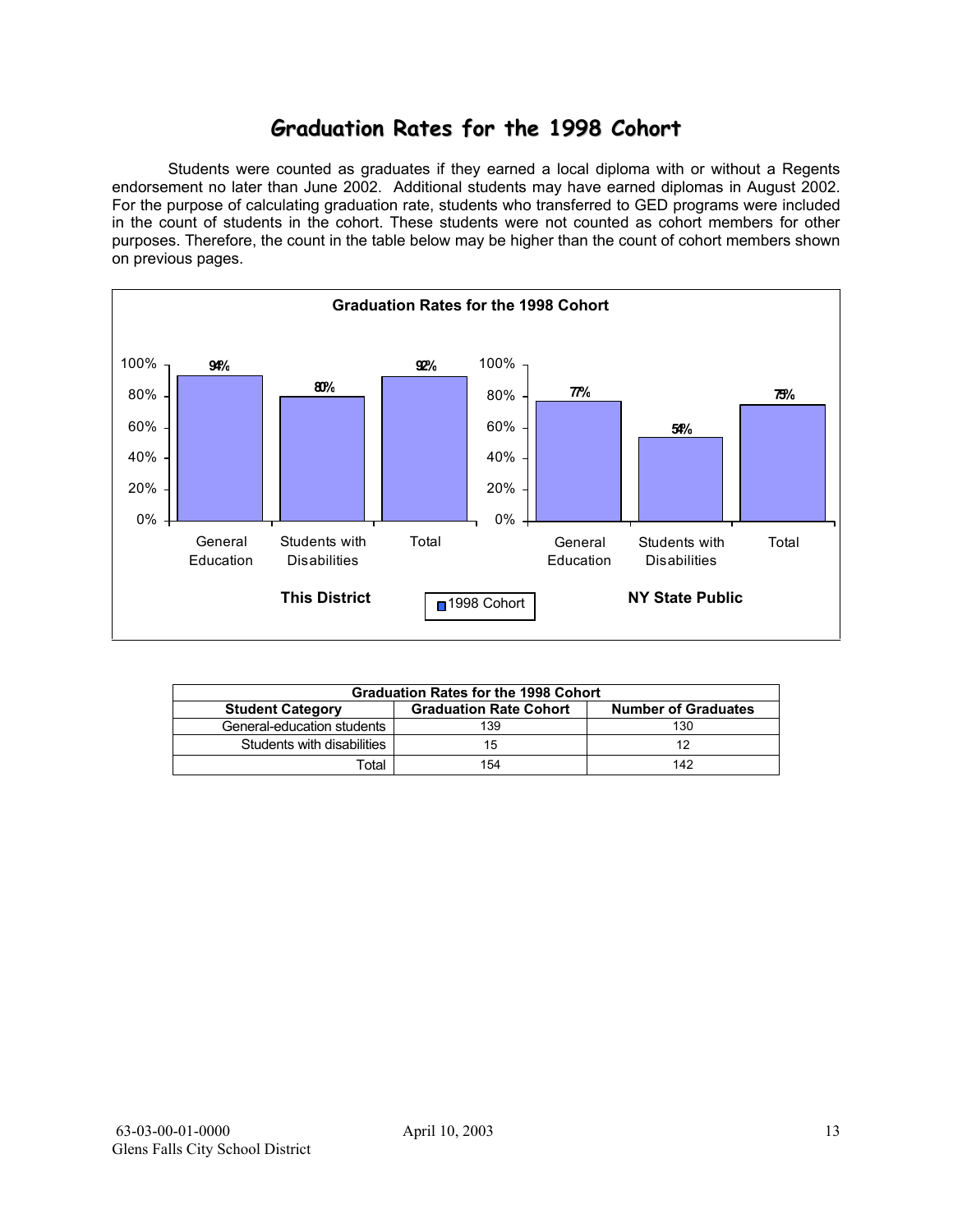## **Graduation Rates for the 1998 Cohort**

 Students were counted as graduates if they earned a local diploma with or without a Regents endorsement no later than June 2002. Additional students may have earned diplomas in August 2002. For the purpose of calculating graduation rate, students who transferred to GED programs were included in the count of students in the cohort. These students were not counted as cohort members for other purposes. Therefore, the count in the table below may be higher than the count of cohort members shown on previous pages.



|                            | <b>Graduation Rates for the 1998 Cohort</b> |                            |  |  |  |  |  |  |  |  |  |
|----------------------------|---------------------------------------------|----------------------------|--|--|--|--|--|--|--|--|--|
| <b>Student Category</b>    | <b>Graduation Rate Cohort</b>               | <b>Number of Graduates</b> |  |  |  |  |  |  |  |  |  |
| General-education students | 139                                         | 130                        |  |  |  |  |  |  |  |  |  |
| Students with disabilities | 15                                          | 12                         |  |  |  |  |  |  |  |  |  |
| Total                      | 154                                         | 142                        |  |  |  |  |  |  |  |  |  |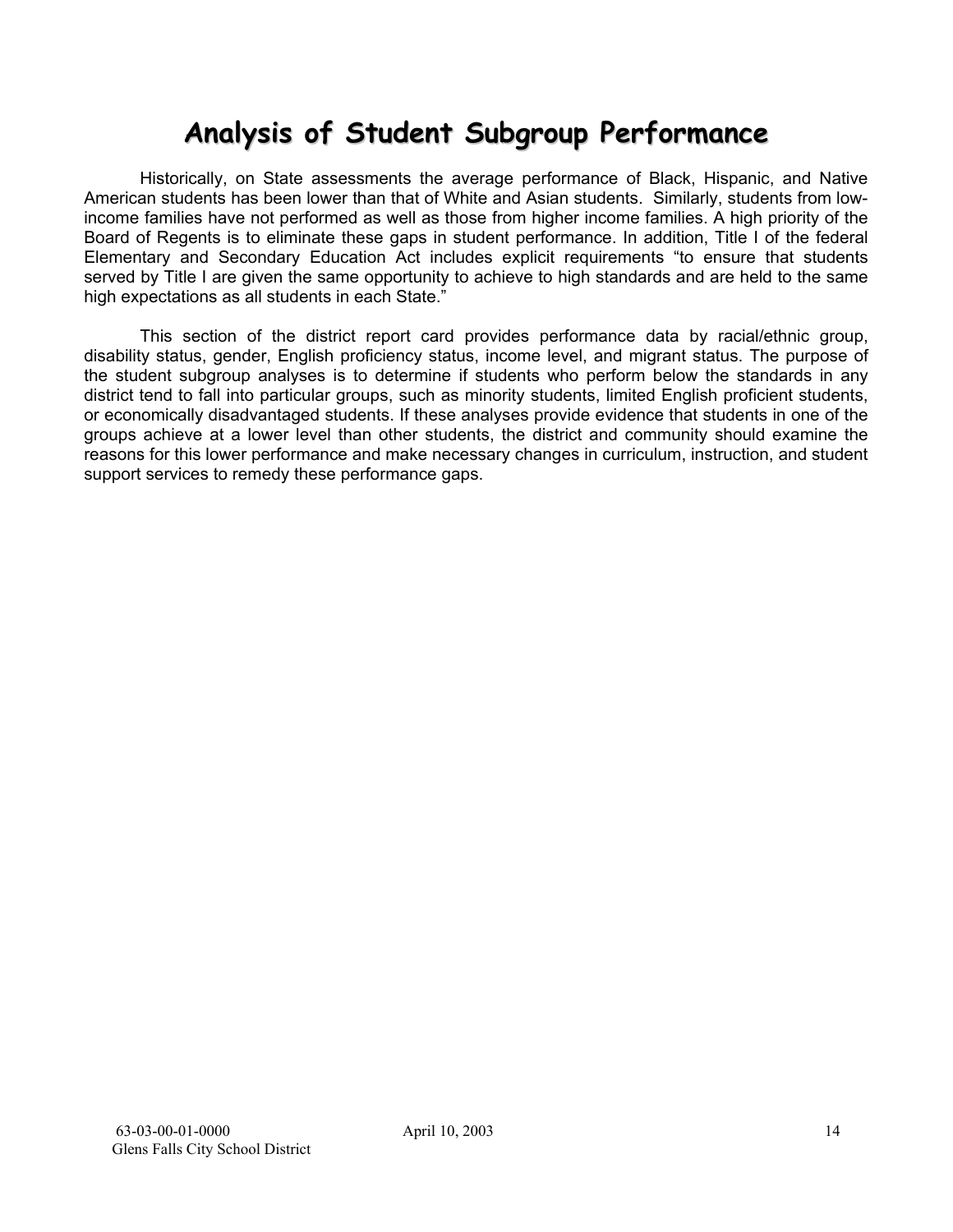# **Analysis of Student Subgroup Performance**

Historically, on State assessments the average performance of Black, Hispanic, and Native American students has been lower than that of White and Asian students. Similarly, students from lowincome families have not performed as well as those from higher income families. A high priority of the Board of Regents is to eliminate these gaps in student performance. In addition, Title I of the federal Elementary and Secondary Education Act includes explicit requirements "to ensure that students served by Title I are given the same opportunity to achieve to high standards and are held to the same high expectations as all students in each State."

This section of the district report card provides performance data by racial/ethnic group, disability status, gender, English proficiency status, income level, and migrant status. The purpose of the student subgroup analyses is to determine if students who perform below the standards in any district tend to fall into particular groups, such as minority students, limited English proficient students, or economically disadvantaged students. If these analyses provide evidence that students in one of the groups achieve at a lower level than other students, the district and community should examine the reasons for this lower performance and make necessary changes in curriculum, instruction, and student support services to remedy these performance gaps.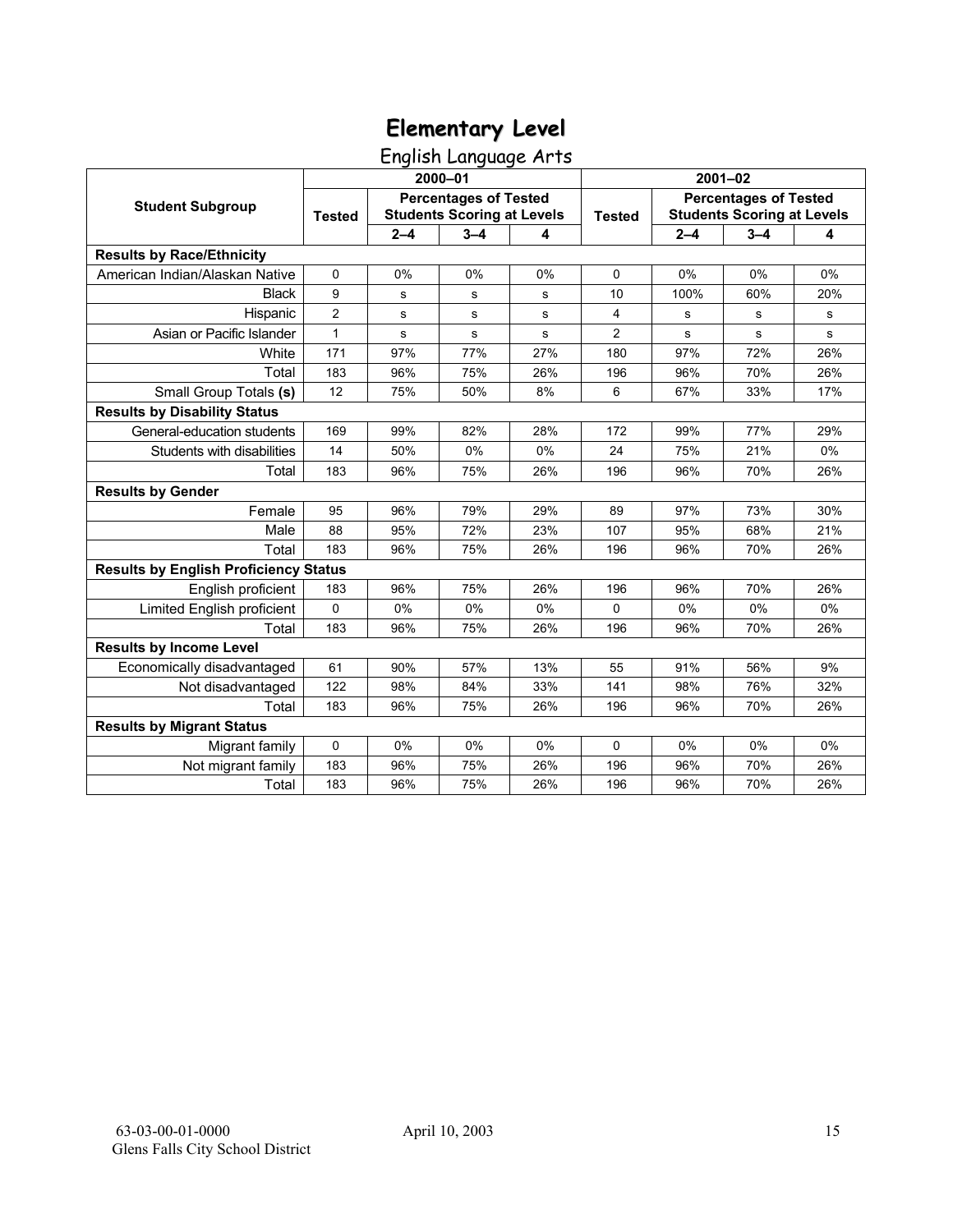English Language Arts

|                                              |                |         | 2000-01                                                           |     | $2001 - 02$    |                                                                   |         |     |  |
|----------------------------------------------|----------------|---------|-------------------------------------------------------------------|-----|----------------|-------------------------------------------------------------------|---------|-----|--|
| <b>Student Subgroup</b>                      | <b>Tested</b>  |         | <b>Percentages of Tested</b><br><b>Students Scoring at Levels</b> |     | <b>Tested</b>  | <b>Percentages of Tested</b><br><b>Students Scoring at Levels</b> |         |     |  |
|                                              |                | $2 - 4$ | $3 - 4$                                                           | 4   |                | $2 - 4$                                                           | $3 - 4$ | 4   |  |
| <b>Results by Race/Ethnicity</b>             |                |         |                                                                   |     |                |                                                                   |         |     |  |
| American Indian/Alaskan Native               | $\mathbf 0$    | 0%      | 0%                                                                | 0%  | 0              | 0%                                                                | 0%      | 0%  |  |
| <b>Black</b>                                 | 9              | s       | $\mathbf s$                                                       | s   | 10             | 100%                                                              | 60%     | 20% |  |
| Hispanic                                     | $\overline{2}$ | s       | s                                                                 | s   | 4              | s                                                                 | s       | s   |  |
| Asian or Pacific Islander                    | $\mathbf{1}$   | s       | $\mathbf s$                                                       | s   | $\overline{c}$ | s                                                                 | s       | s   |  |
| White                                        | 171            | 97%     | 77%                                                               | 27% | 180            | 97%                                                               | 72%     | 26% |  |
| Total                                        | 183            | 96%     | 75%                                                               | 26% | 196            | 96%                                                               | 70%     | 26% |  |
| Small Group Totals (s)                       | 12             | 75%     | 50%                                                               | 8%  | 6              | 67%                                                               | 33%     | 17% |  |
| <b>Results by Disability Status</b>          |                |         |                                                                   |     |                |                                                                   |         |     |  |
| General-education students                   | 169            | 99%     | 82%                                                               | 28% | 172            | 99%                                                               | 77%     | 29% |  |
| Students with disabilities                   | 14             | 50%     | 0%                                                                | 0%  | 24             | 75%                                                               | 21%     | 0%  |  |
| Total                                        | 183            | 96%     | 75%                                                               | 26% | 196            | 96%                                                               | 70%     | 26% |  |
| <b>Results by Gender</b>                     |                |         |                                                                   |     |                |                                                                   |         |     |  |
| Female                                       | 95             | 96%     | 79%                                                               | 29% | 89             | 97%                                                               | 73%     | 30% |  |
| Male                                         | 88             | 95%     | 72%                                                               | 23% | 107            | 95%                                                               | 68%     | 21% |  |
| Total                                        | 183            | 96%     | 75%                                                               | 26% | 196            | 96%                                                               | 70%     | 26% |  |
| <b>Results by English Proficiency Status</b> |                |         |                                                                   |     |                |                                                                   |         |     |  |
| English proficient                           | 183            | 96%     | 75%                                                               | 26% | 196            | 96%                                                               | 70%     | 26% |  |
| Limited English proficient                   | 0              | 0%      | 0%                                                                | 0%  | 0              | 0%                                                                | 0%      | 0%  |  |
| Total                                        | 183            | 96%     | 75%                                                               | 26% | 196            | 96%                                                               | 70%     | 26% |  |
| <b>Results by Income Level</b>               |                |         |                                                                   |     |                |                                                                   |         |     |  |
| Economically disadvantaged                   | 61             | 90%     | 57%                                                               | 13% | 55             | 91%                                                               | 56%     | 9%  |  |
| Not disadvantaged                            | 122            | 98%     | 84%                                                               | 33% | 141            | 98%                                                               | 76%     | 32% |  |
| Total                                        | 183            | 96%     | 75%                                                               | 26% | 196            | 96%                                                               | 70%     | 26% |  |
| <b>Results by Migrant Status</b>             |                |         |                                                                   |     |                |                                                                   |         |     |  |
| Migrant family                               | $\mathbf 0$    | 0%      | 0%                                                                | 0%  | $\Omega$       | 0%                                                                | 0%      | 0%  |  |
| Not migrant family                           | 183            | 96%     | 75%                                                               | 26% | 196            | 96%                                                               | 70%     | 26% |  |
| Total                                        | 183            | 96%     | 75%                                                               | 26% | 196            | 96%                                                               | 70%     | 26% |  |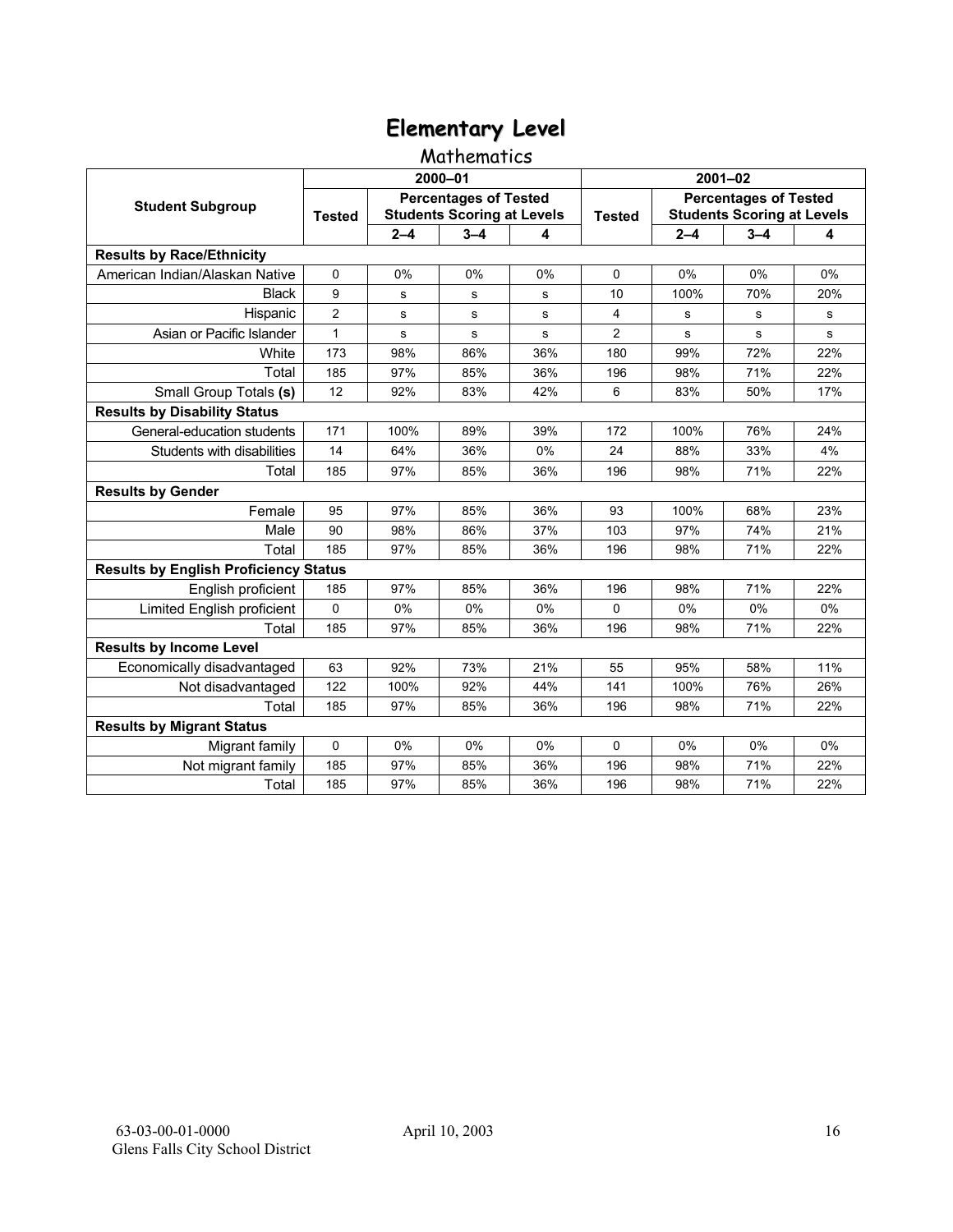### Mathematics

|                                              |                |           | 2000-01                                                           |       | 2001-02        |                                                                   |         |     |  |
|----------------------------------------------|----------------|-----------|-------------------------------------------------------------------|-------|----------------|-------------------------------------------------------------------|---------|-----|--|
| <b>Student Subgroup</b>                      | <b>Tested</b>  |           | <b>Percentages of Tested</b><br><b>Students Scoring at Levels</b> |       | <b>Tested</b>  | <b>Percentages of Tested</b><br><b>Students Scoring at Levels</b> |         |     |  |
|                                              |                | $2 - 4$   | $3 - 4$                                                           | 4     |                | $2 - 4$                                                           | $3 - 4$ | 4   |  |
| <b>Results by Race/Ethnicity</b>             |                |           |                                                                   |       |                |                                                                   |         |     |  |
| American Indian/Alaskan Native               | $\mathbf 0$    | 0%        | 0%                                                                | 0%    | $\Omega$       | 0%                                                                | 0%      | 0%  |  |
| <b>Black</b>                                 | 9              | s         | s                                                                 | s     | 10             | 100%                                                              | 70%     | 20% |  |
| Hispanic                                     | $\overline{2}$ | s         | s                                                                 | s     | 4              | s                                                                 | s       | s   |  |
| Asian or Pacific Islander                    | $\mathbf{1}$   | ${\bf s}$ | s                                                                 | s     | $\overline{c}$ | s                                                                 | s       | s   |  |
| White                                        | 173            | 98%       | 86%                                                               | 36%   | 180            | 99%                                                               | 72%     | 22% |  |
| Total                                        | 185            | 97%       | 85%                                                               | 36%   | 196            | 98%                                                               | 71%     | 22% |  |
| Small Group Totals (s)                       | 12             | 92%       | 83%                                                               | 42%   | 6              | 83%                                                               | 50%     | 17% |  |
| <b>Results by Disability Status</b>          |                |           |                                                                   |       |                |                                                                   |         |     |  |
| General-education students                   | 171            | 100%      | 89%                                                               | 39%   | 172            | 100%                                                              | 76%     | 24% |  |
| Students with disabilities                   | 14             | 64%       | 36%                                                               | 0%    | 24             | 88%                                                               | 33%     | 4%  |  |
| Total                                        | 185            | 97%       | 85%                                                               | 36%   | 196            | 98%                                                               | 71%     | 22% |  |
| <b>Results by Gender</b>                     |                |           |                                                                   |       |                |                                                                   |         |     |  |
| Female                                       | 95             | 97%       | 85%                                                               | 36%   | 93             | 100%                                                              | 68%     | 23% |  |
| Male                                         | 90             | 98%       | 86%                                                               | 37%   | 103            | 97%                                                               | 74%     | 21% |  |
| Total                                        | 185            | 97%       | 85%                                                               | 36%   | 196            | 98%                                                               | 71%     | 22% |  |
| <b>Results by English Proficiency Status</b> |                |           |                                                                   |       |                |                                                                   |         |     |  |
| English proficient                           | 185            | 97%       | 85%                                                               | 36%   | 196            | 98%                                                               | 71%     | 22% |  |
| Limited English proficient                   | 0              | 0%        | 0%                                                                | 0%    | $\Omega$       | 0%                                                                | 0%      | 0%  |  |
| Total                                        | 185            | 97%       | 85%                                                               | 36%   | 196            | 98%                                                               | 71%     | 22% |  |
| <b>Results by Income Level</b>               |                |           |                                                                   |       |                |                                                                   |         |     |  |
| Economically disadvantaged                   | 63             | 92%       | 73%                                                               | 21%   | 55             | 95%                                                               | 58%     | 11% |  |
| Not disadvantaged                            | 122            | 100%      | 92%                                                               | 44%   | 141            | 100%                                                              | 76%     | 26% |  |
| Total                                        | 185            | 97%       | 85%                                                               | 36%   | 196            | 98%                                                               | 71%     | 22% |  |
| <b>Results by Migrant Status</b>             |                |           |                                                                   |       |                |                                                                   |         |     |  |
| Migrant family                               | 0              | $0\%$     | 0%                                                                | $0\%$ | $\Omega$       | $0\%$                                                             | 0%      | 0%  |  |
| Not migrant family                           | 185            | 97%       | 85%                                                               | 36%   | 196            | 98%                                                               | 71%     | 22% |  |
| Total                                        | 185            | 97%       | 85%                                                               | 36%   | 196            | 98%                                                               | 71%     | 22% |  |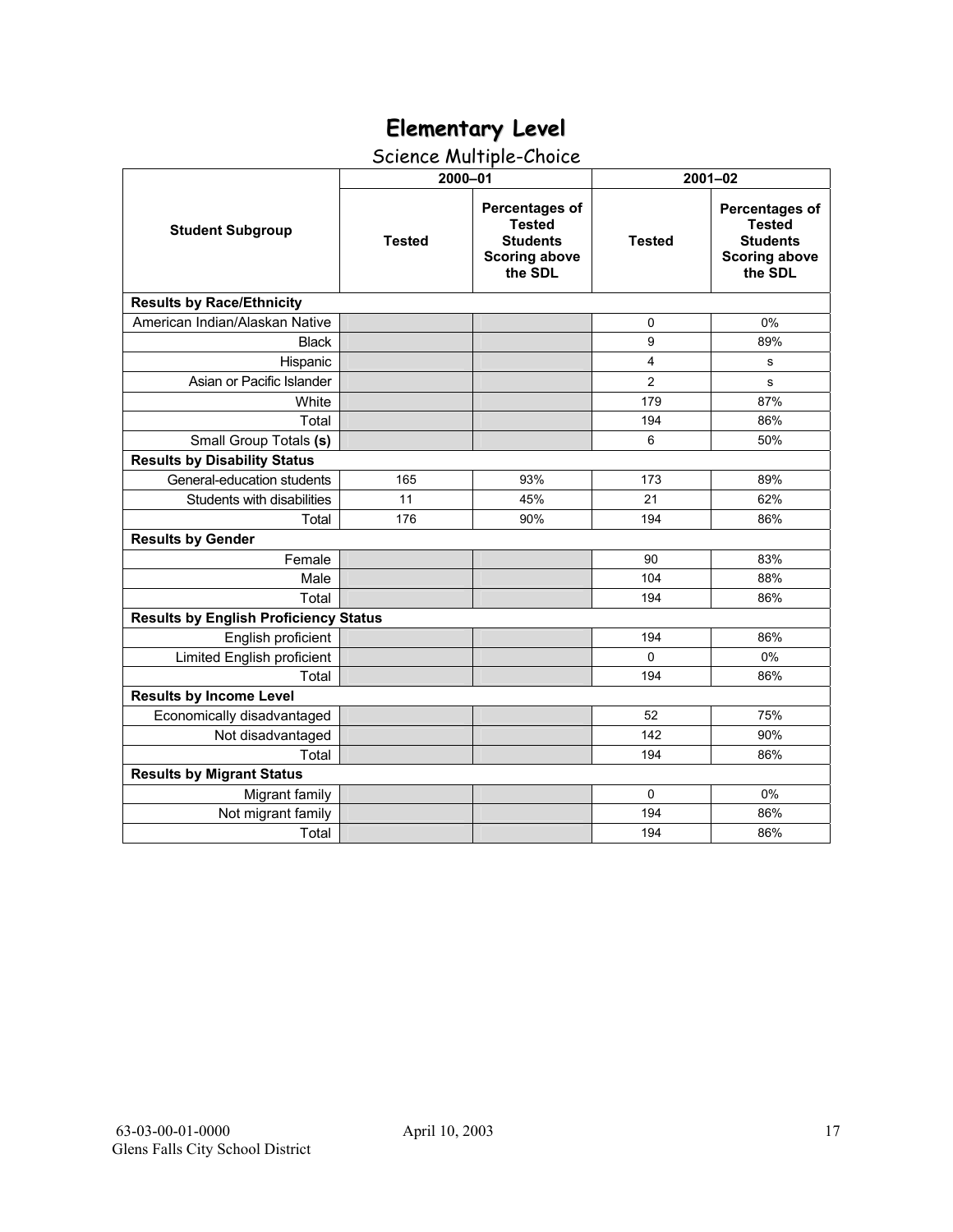## Science Multiple-Choice

|                                              | 2000-01       |                                                                                       | $2001 - 02$    |                                                                                              |  |  |  |
|----------------------------------------------|---------------|---------------------------------------------------------------------------------------|----------------|----------------------------------------------------------------------------------------------|--|--|--|
| <b>Student Subgroup</b>                      | <b>Tested</b> | Percentages of<br><b>Tested</b><br><b>Students</b><br><b>Scoring above</b><br>the SDL | <b>Tested</b>  | <b>Percentages of</b><br><b>Tested</b><br><b>Students</b><br><b>Scoring above</b><br>the SDL |  |  |  |
| <b>Results by Race/Ethnicity</b>             |               |                                                                                       |                |                                                                                              |  |  |  |
| American Indian/Alaskan Native               |               |                                                                                       | 0              | 0%                                                                                           |  |  |  |
| <b>Black</b>                                 |               |                                                                                       | 9              | 89%                                                                                          |  |  |  |
| Hispanic                                     |               |                                                                                       | $\overline{4}$ | s                                                                                            |  |  |  |
| Asian or Pacific Islander                    |               |                                                                                       | $\overline{2}$ | s                                                                                            |  |  |  |
| White                                        |               |                                                                                       | 179            | 87%                                                                                          |  |  |  |
| Total                                        |               |                                                                                       | 194            | 86%                                                                                          |  |  |  |
| Small Group Totals (s)                       |               |                                                                                       | 6              | 50%                                                                                          |  |  |  |
| <b>Results by Disability Status</b>          |               |                                                                                       |                |                                                                                              |  |  |  |
| General-education students                   | 165           | 93%                                                                                   | 173            | 89%                                                                                          |  |  |  |
| Students with disabilities                   | 11            | 45%                                                                                   | 21             | 62%                                                                                          |  |  |  |
| Total                                        | 176           | 90%                                                                                   | 194            | 86%                                                                                          |  |  |  |
| <b>Results by Gender</b>                     |               |                                                                                       |                |                                                                                              |  |  |  |
| Female                                       |               |                                                                                       | 90             | 83%                                                                                          |  |  |  |
| Male                                         |               |                                                                                       | 104            | 88%                                                                                          |  |  |  |
| Total                                        |               |                                                                                       | 194            | 86%                                                                                          |  |  |  |
| <b>Results by English Proficiency Status</b> |               |                                                                                       |                |                                                                                              |  |  |  |
| English proficient                           |               |                                                                                       | 194            | 86%                                                                                          |  |  |  |
| Limited English proficient                   |               |                                                                                       | $\Omega$       | 0%                                                                                           |  |  |  |
| Total                                        |               |                                                                                       | 194            | 86%                                                                                          |  |  |  |
| <b>Results by Income Level</b>               |               |                                                                                       |                |                                                                                              |  |  |  |
| Economically disadvantaged                   |               |                                                                                       | 52             | 75%                                                                                          |  |  |  |
| Not disadvantaged                            |               |                                                                                       | 142            | 90%                                                                                          |  |  |  |
| Total                                        |               |                                                                                       | 194            | 86%                                                                                          |  |  |  |
| <b>Results by Migrant Status</b>             |               |                                                                                       |                |                                                                                              |  |  |  |
| Migrant family                               |               |                                                                                       | $\Omega$       | 0%                                                                                           |  |  |  |
| Not migrant family                           |               |                                                                                       | 194            | 86%                                                                                          |  |  |  |
| Total                                        |               |                                                                                       | 194            | 86%                                                                                          |  |  |  |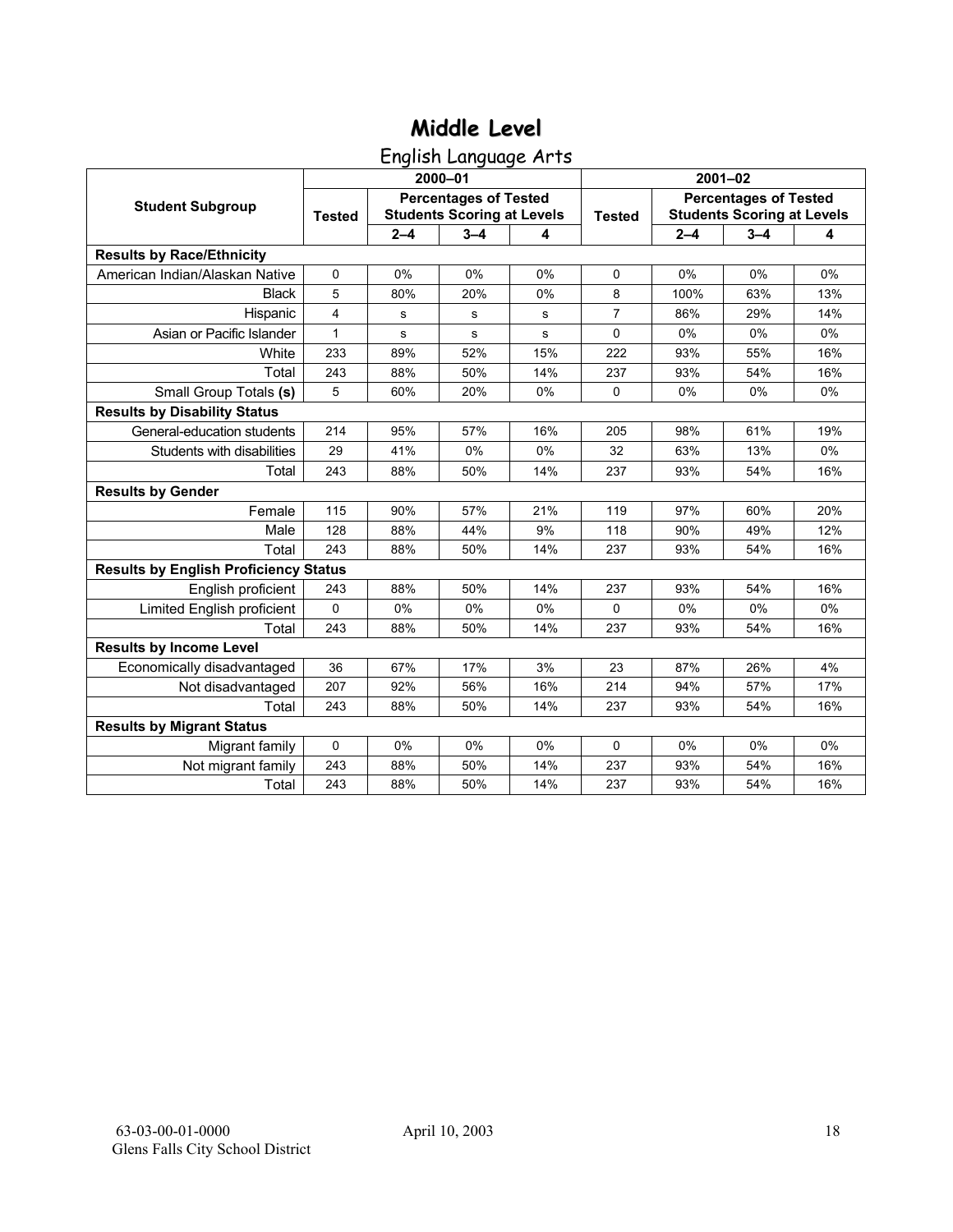English Language Arts

|                                              |               |           | 2000-01                                                           |       | $2001 - 02$    |                                                                   |         |       |  |
|----------------------------------------------|---------------|-----------|-------------------------------------------------------------------|-------|----------------|-------------------------------------------------------------------|---------|-------|--|
| <b>Student Subgroup</b>                      | <b>Tested</b> |           | <b>Percentages of Tested</b><br><b>Students Scoring at Levels</b> |       | <b>Tested</b>  | <b>Percentages of Tested</b><br><b>Students Scoring at Levels</b> |         |       |  |
|                                              |               | $2 - 4$   | $3 - 4$                                                           | 4     |                | $2 - 4$                                                           | $3 - 4$ | 4     |  |
| <b>Results by Race/Ethnicity</b>             |               |           |                                                                   |       |                |                                                                   |         |       |  |
| American Indian/Alaskan Native               | $\mathbf 0$   | 0%        | 0%                                                                | 0%    | $\Omega$       | 0%                                                                | 0%      | 0%    |  |
| <b>Black</b>                                 | 5             | 80%       | 20%                                                               | 0%    | 8              | 100%                                                              | 63%     | 13%   |  |
| Hispanic                                     | 4             | s         | s                                                                 | s     | $\overline{7}$ | 86%                                                               | 29%     | 14%   |  |
| Asian or Pacific Islander                    | $\mathbf{1}$  | ${\bf s}$ | $\mathbf s$                                                       | s     | 0              | 0%                                                                | 0%      | $0\%$ |  |
| White                                        | 233           | 89%       | 52%                                                               | 15%   | 222            | 93%                                                               | 55%     | 16%   |  |
| Total                                        | 243           | 88%       | 50%                                                               | 14%   | 237            | 93%                                                               | 54%     | 16%   |  |
| Small Group Totals (s)                       | 5             | 60%       | 20%                                                               | 0%    | $\Omega$       | 0%                                                                | 0%      | 0%    |  |
| <b>Results by Disability Status</b>          |               |           |                                                                   |       |                |                                                                   |         |       |  |
| General-education students                   | 214           | 95%       | 57%                                                               | 16%   | 205            | 98%                                                               | 61%     | 19%   |  |
| Students with disabilities                   | 29            | 41%       | 0%                                                                | 0%    | 32             | 63%                                                               | 13%     | $0\%$ |  |
| Total                                        | 243           | 88%       | 50%                                                               | 14%   | 237            | 93%                                                               | 54%     | 16%   |  |
| <b>Results by Gender</b>                     |               |           |                                                                   |       |                |                                                                   |         |       |  |
| Female                                       | 115           | 90%       | 57%                                                               | 21%   | 119            | 97%                                                               | 60%     | 20%   |  |
| Male                                         | 128           | 88%       | 44%                                                               | 9%    | 118            | 90%                                                               | 49%     | 12%   |  |
| Total                                        | 243           | 88%       | 50%                                                               | 14%   | 237            | 93%                                                               | 54%     | 16%   |  |
| <b>Results by English Proficiency Status</b> |               |           |                                                                   |       |                |                                                                   |         |       |  |
| English proficient                           | 243           | 88%       | 50%                                                               | 14%   | 237            | 93%                                                               | 54%     | 16%   |  |
| Limited English proficient                   | $\Omega$      | 0%        | 0%                                                                | 0%    | 0              | 0%                                                                | 0%      | 0%    |  |
| Total                                        | 243           | 88%       | 50%                                                               | 14%   | 237            | 93%                                                               | 54%     | 16%   |  |
| <b>Results by Income Level</b>               |               |           |                                                                   |       |                |                                                                   |         |       |  |
| Economically disadvantaged                   | 36            | 67%       | 17%                                                               | 3%    | 23             | 87%                                                               | 26%     | 4%    |  |
| Not disadvantaged                            | 207           | 92%       | 56%                                                               | 16%   | 214            | 94%                                                               | 57%     | 17%   |  |
| Total                                        | 243           | 88%       | 50%                                                               | 14%   | 237            | 93%                                                               | 54%     | 16%   |  |
| <b>Results by Migrant Status</b>             |               |           |                                                                   |       |                |                                                                   |         |       |  |
| Migrant family                               | 0             | $0\%$     | 0%                                                                | $0\%$ | $\Omega$       | $0\%$                                                             | $0\%$   | 0%    |  |
| Not migrant family                           | 243           | 88%       | 50%                                                               | 14%   | 237            | 93%                                                               | 54%     | 16%   |  |
| Total                                        | 243           | 88%       | 50%                                                               | 14%   | 237            | 93%                                                               | 54%     | 16%   |  |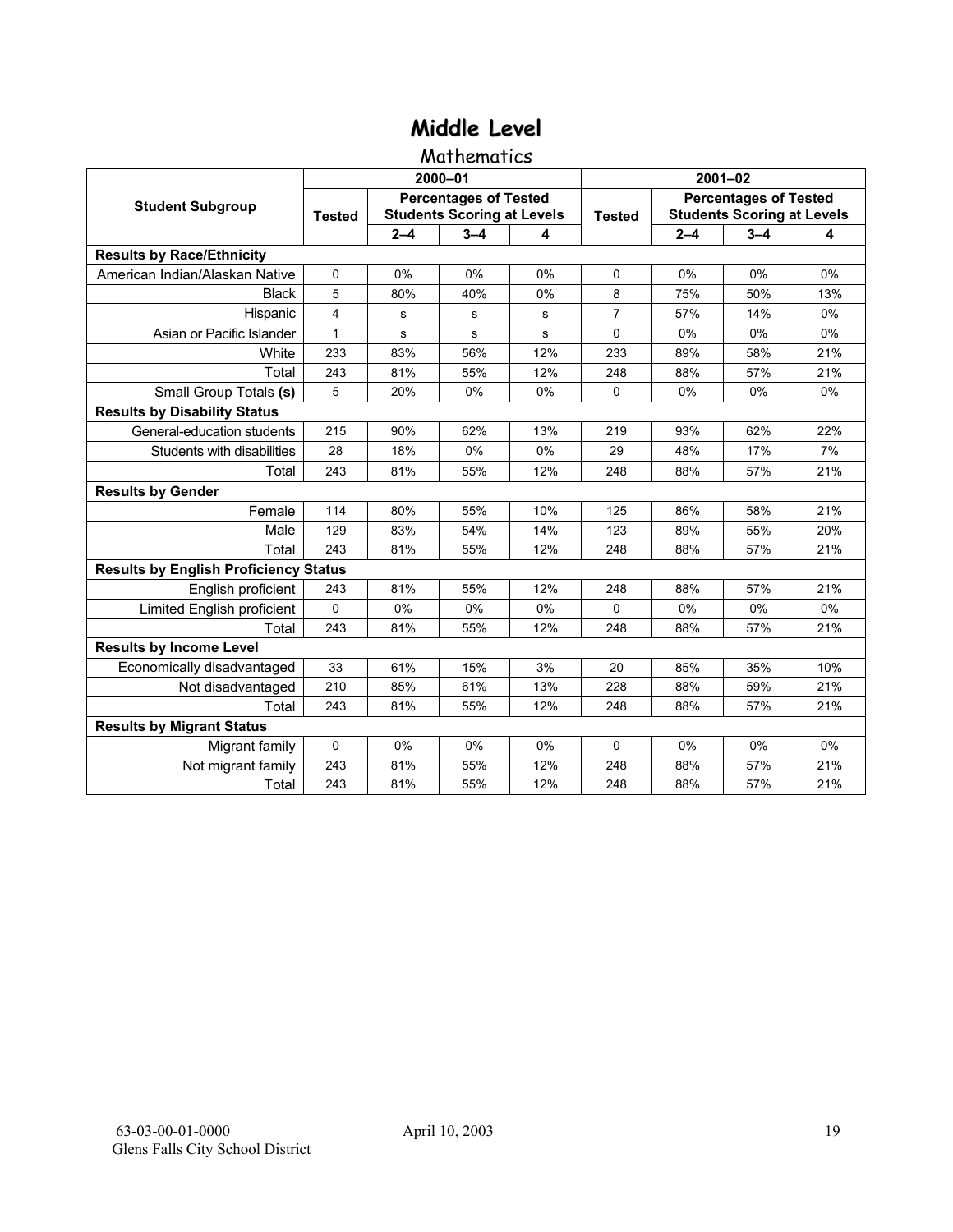### **Mathematics**

|                                              |               |         | 2000-01                                                           |     | $2001 - 02$    |                                                                   |         |     |  |
|----------------------------------------------|---------------|---------|-------------------------------------------------------------------|-----|----------------|-------------------------------------------------------------------|---------|-----|--|
| <b>Student Subgroup</b>                      | <b>Tested</b> |         | <b>Percentages of Tested</b><br><b>Students Scoring at Levels</b> |     | <b>Tested</b>  | <b>Percentages of Tested</b><br><b>Students Scoring at Levels</b> |         |     |  |
|                                              |               | $2 - 4$ | $3 - 4$                                                           | 4   |                | $2 - 4$                                                           | $3 - 4$ | 4   |  |
| <b>Results by Race/Ethnicity</b>             |               |         |                                                                   |     |                |                                                                   |         |     |  |
| American Indian/Alaskan Native               | $\Omega$      | 0%      | 0%                                                                | 0%  | $\Omega$       | 0%                                                                | 0%      | 0%  |  |
| <b>Black</b>                                 | 5             | 80%     | 40%                                                               | 0%  | 8              | 75%                                                               | 50%     | 13% |  |
| Hispanic                                     | 4             | s       | s                                                                 | s   | $\overline{7}$ | 57%                                                               | 14%     | 0%  |  |
| Asian or Pacific Islander                    | 1             | s       | $\mathbf s$                                                       | s   | 0              | 0%                                                                | 0%      | 0%  |  |
| White                                        | 233           | 83%     | 56%                                                               | 12% | 233            | 89%                                                               | 58%     | 21% |  |
| Total                                        | 243           | 81%     | 55%                                                               | 12% | 248            | 88%                                                               | 57%     | 21% |  |
| Small Group Totals (s)                       | 5             | 20%     | 0%                                                                | 0%  | $\Omega$       | 0%                                                                | 0%      | 0%  |  |
| <b>Results by Disability Status</b>          |               |         |                                                                   |     |                |                                                                   |         |     |  |
| General-education students                   | 215           | 90%     | 62%                                                               | 13% | 219            | 93%                                                               | 62%     | 22% |  |
| Students with disabilities                   | 28            | 18%     | 0%                                                                | 0%  | 29             | 48%                                                               | 17%     | 7%  |  |
| Total                                        | 243           | 81%     | 55%                                                               | 12% | 248            | 88%                                                               | 57%     | 21% |  |
| <b>Results by Gender</b>                     |               |         |                                                                   |     |                |                                                                   |         |     |  |
| Female                                       | 114           | 80%     | 55%                                                               | 10% | 125            | 86%                                                               | 58%     | 21% |  |
| Male                                         | 129           | 83%     | 54%                                                               | 14% | 123            | 89%                                                               | 55%     | 20% |  |
| Total                                        | 243           | 81%     | 55%                                                               | 12% | 248            | 88%                                                               | 57%     | 21% |  |
| <b>Results by English Proficiency Status</b> |               |         |                                                                   |     |                |                                                                   |         |     |  |
| English proficient                           | 243           | 81%     | 55%                                                               | 12% | 248            | 88%                                                               | 57%     | 21% |  |
| Limited English proficient                   | 0             | 0%      | 0%                                                                | 0%  | $\Omega$       | 0%                                                                | 0%      | 0%  |  |
| Total                                        | 243           | 81%     | 55%                                                               | 12% | 248            | 88%                                                               | 57%     | 21% |  |
| <b>Results by Income Level</b>               |               |         |                                                                   |     |                |                                                                   |         |     |  |
| Economically disadvantaged                   | 33            | 61%     | 15%                                                               | 3%  | 20             | 85%                                                               | 35%     | 10% |  |
| Not disadvantaged                            | 210           | 85%     | 61%                                                               | 13% | 228            | 88%                                                               | 59%     | 21% |  |
| Total                                        | 243           | 81%     | 55%                                                               | 12% | 248            | 88%                                                               | 57%     | 21% |  |
| <b>Results by Migrant Status</b>             |               |         |                                                                   |     |                |                                                                   |         |     |  |
| Migrant family                               | 0             | 0%      | 0%                                                                | 0%  | $\Omega$       | 0%                                                                | 0%      | 0%  |  |
| Not migrant family                           | 243           | 81%     | 55%                                                               | 12% | 248            | 88%                                                               | 57%     | 21% |  |
| Total                                        | 243           | 81%     | 55%                                                               | 12% | 248            | 88%                                                               | 57%     | 21% |  |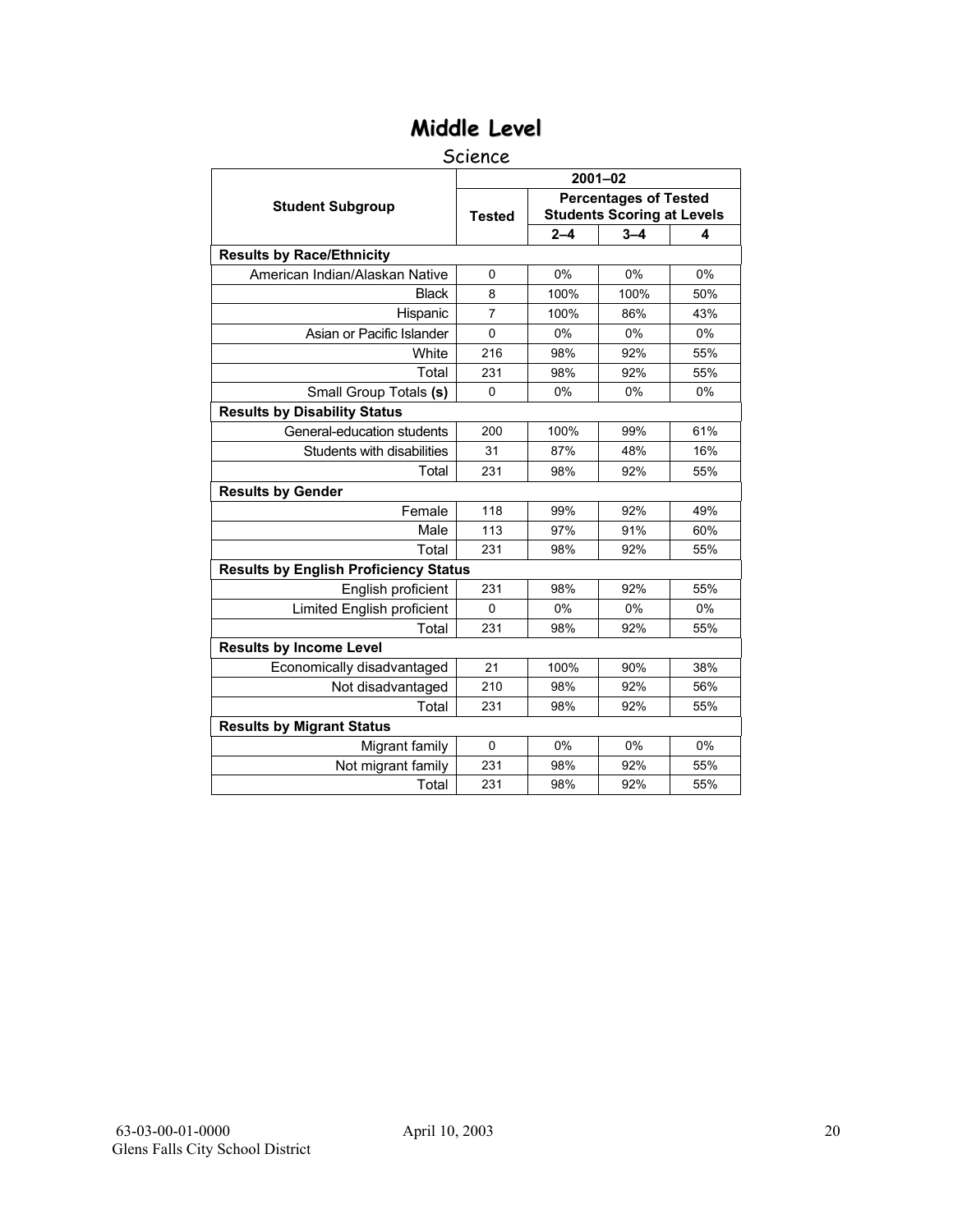#### Science

|                                              | $2001 - 02$   |         |                                                                   |     |  |  |  |  |
|----------------------------------------------|---------------|---------|-------------------------------------------------------------------|-----|--|--|--|--|
| <b>Student Subgroup</b>                      | <b>Tested</b> |         | <b>Percentages of Tested</b><br><b>Students Scoring at Levels</b> |     |  |  |  |  |
|                                              |               | $2 - 4$ | $3 - 4$                                                           | 4   |  |  |  |  |
| <b>Results by Race/Ethnicity</b>             |               |         |                                                                   |     |  |  |  |  |
| American Indian/Alaskan Native               | $\mathbf 0$   | 0%      | 0%                                                                | 0%  |  |  |  |  |
| <b>Black</b>                                 | 8             | 100%    | 100%                                                              | 50% |  |  |  |  |
| Hispanic                                     | 7             | 100%    | 86%                                                               | 43% |  |  |  |  |
| Asian or Pacific Islander                    | $\mathbf{0}$  | 0%      | 0%                                                                | 0%  |  |  |  |  |
| White                                        | 216           | 98%     | 92%                                                               | 55% |  |  |  |  |
| Total                                        | 231           | 98%     | 92%                                                               | 55% |  |  |  |  |
| Small Group Totals (s)                       | $\Omega$      | 0%      | 0%                                                                | 0%  |  |  |  |  |
| <b>Results by Disability Status</b>          |               |         |                                                                   |     |  |  |  |  |
| General-education students                   | 200           | 100%    | 99%                                                               | 61% |  |  |  |  |
| Students with disabilities                   | 31            | 87%     | 48%                                                               | 16% |  |  |  |  |
| Total                                        | 231           | 98%     | 92%                                                               | 55% |  |  |  |  |
| <b>Results by Gender</b>                     |               |         |                                                                   |     |  |  |  |  |
| Female                                       | 118           | 99%     | 92%                                                               | 49% |  |  |  |  |
| Male                                         | 113           | 97%     | 91%                                                               | 60% |  |  |  |  |
| Total                                        | 231           | 98%     | 92%                                                               | 55% |  |  |  |  |
| <b>Results by English Proficiency Status</b> |               |         |                                                                   |     |  |  |  |  |
| English proficient                           | 231           | 98%     | 92%                                                               | 55% |  |  |  |  |
| Limited English proficient                   | $\mathbf{0}$  | 0%      | 0%                                                                | 0%  |  |  |  |  |
| Total                                        | 231           | 98%     | 92%                                                               | 55% |  |  |  |  |
| <b>Results by Income Level</b>               |               |         |                                                                   |     |  |  |  |  |
| Economically disadvantaged                   | 21            | 100%    | 90%                                                               | 38% |  |  |  |  |
| Not disadvantaged                            | 210           | 98%     | 92%                                                               | 56% |  |  |  |  |
| Total                                        | 231           | 98%     | 92%                                                               | 55% |  |  |  |  |
| <b>Results by Migrant Status</b>             |               |         |                                                                   |     |  |  |  |  |
| Migrant family                               | $\Omega$      | 0%      | 0%                                                                | 0%  |  |  |  |  |
| Not migrant family                           | 231           | 98%     | 92%                                                               | 55% |  |  |  |  |
| Total                                        | 231           | 98%     | 92%                                                               | 55% |  |  |  |  |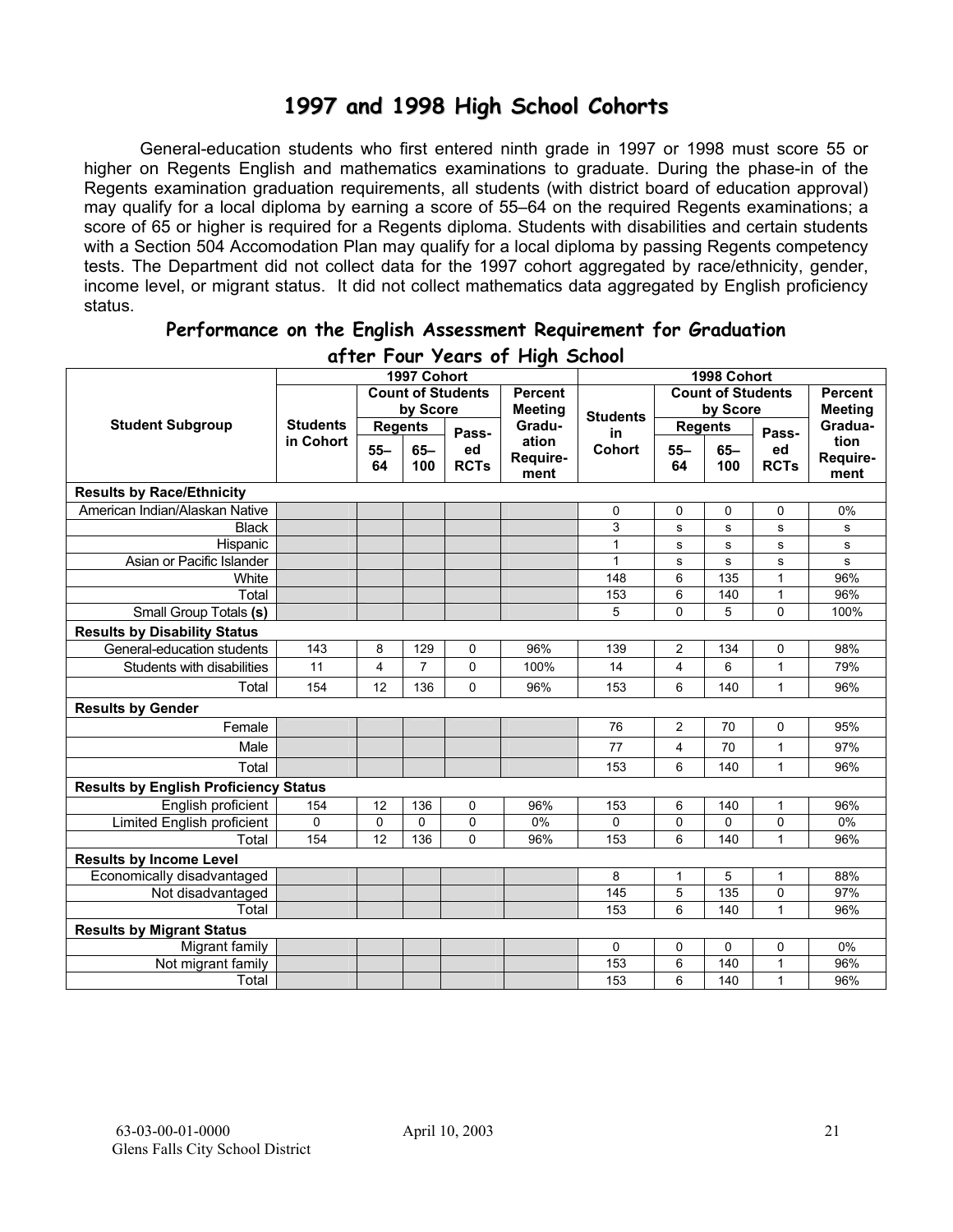## **1997 and 1998 High School Cohorts**

General-education students who first entered ninth grade in 1997 or 1998 must score 55 or higher on Regents English and mathematics examinations to graduate. During the phase-in of the Regents examination graduation requirements, all students (with district board of education approval) may qualify for a local diploma by earning a score of 55–64 on the required Regents examinations; a score of 65 or higher is required for a Regents diploma. Students with disabilities and certain students with a Section 504 Accomodation Plan may qualify for a local diploma by passing Regents competency tests. The Department did not collect data for the 1997 cohort aggregated by race/ethnicity, gender, income level, or migrant status. It did not collect mathematics data aggregated by English proficiency status.

|                                              | alier Tour Zears of Flight School |                |                |                          |                |                 |                |                          |              |                |
|----------------------------------------------|-----------------------------------|----------------|----------------|--------------------------|----------------|-----------------|----------------|--------------------------|--------------|----------------|
|                                              |                                   |                | 1997 Cohort    |                          |                |                 |                | 1998 Cohort              |              |                |
|                                              |                                   |                |                | <b>Count of Students</b> | <b>Percent</b> |                 |                | <b>Count of Students</b> |              | <b>Percent</b> |
|                                              |                                   |                | by Score       |                          | <b>Meeting</b> | <b>Students</b> |                | by Score                 |              | <b>Meeting</b> |
| <b>Student Subgroup</b>                      | <b>Students</b>                   | <b>Regents</b> |                | Pass-                    | Gradu-         | in              |                | <b>Regents</b>           | Pass-        | Gradua-        |
|                                              | in Cohort                         | $55 -$         | $65-$          | ed                       | ation          | <b>Cohort</b>   | $55 -$         | $65-$                    | ed           | tion           |
|                                              |                                   | 64             | 100            | <b>RCTs</b>              | Require-       |                 | 64             | 100                      | <b>RCTs</b>  | Require-       |
|                                              |                                   |                |                |                          | ment           |                 |                |                          |              | ment           |
| <b>Results by Race/Ethnicity</b>             |                                   |                |                |                          |                |                 |                |                          |              |                |
| American Indian/Alaskan Native               |                                   |                |                |                          |                | 0               | 0              | 0                        | 0            | 0%             |
| <b>Black</b>                                 |                                   |                |                |                          |                | 3               | s              | ${\bf s}$                | s            | s              |
| Hispanic                                     |                                   |                |                |                          |                | $\mathbf{1}$    | s              | ${\bf s}$                | s            | s              |
| Asian or Pacific Islander                    |                                   |                |                |                          |                | 1               | s              | s                        | s            | s              |
| White                                        |                                   |                |                |                          |                | 148             | 6              | 135                      | 1            | 96%            |
| Total                                        |                                   |                |                |                          |                | 153             | 6              | 140                      | 1            | 96%            |
| Small Group Totals (s)                       |                                   |                |                |                          |                | 5               | 0              | 5                        | 0            | 100%           |
| <b>Results by Disability Status</b>          |                                   |                |                |                          |                |                 |                |                          |              |                |
| General-education students                   | 143                               | 8              | 129            | $\mathbf 0$              | 96%            | 139             | $\overline{c}$ | 134                      | 0            | 98%            |
| Students with disabilities                   | 11                                | 4              | $\overline{7}$ | 0                        | 100%           | 14              | 4              | 6                        | 1            | 79%            |
| Total                                        | 154                               | 12             | 136            | $\Omega$                 | 96%            | 153             | 6              | 140                      | 1            | 96%            |
| <b>Results by Gender</b>                     |                                   |                |                |                          |                |                 |                |                          |              |                |
| Female                                       |                                   |                |                |                          |                | 76              | $\overline{2}$ | 70                       | 0            | 95%            |
| Male                                         |                                   |                |                |                          |                | 77              | 4              | 70                       | 1            | 97%            |
| Total                                        |                                   |                |                |                          |                | 153             | 6              | 140                      | $\mathbf{1}$ | 96%            |
| <b>Results by English Proficiency Status</b> |                                   |                |                |                          |                |                 |                |                          |              |                |
| English proficient                           | 154                               | 12             | 136            | 0                        | 96%            | 153             | 6              | 140                      | 1            | 96%            |
| Limited English proficient                   | $\mathbf 0$                       | $\mathbf 0$    | 0              | $\mathbf 0$              | 0%             | 0               | 0              | 0                        | 0            | 0%             |
| Total                                        | 154                               | 12             | 136            | $\Omega$                 | 96%            | 153             | 6              | 140                      | 1            | 96%            |
| <b>Results by Income Level</b>               |                                   |                |                |                          |                |                 |                |                          |              |                |
| Economically disadvantaged                   |                                   |                |                |                          |                | 8               | 1              | 5                        | 1            | 88%            |
| Not disadvantaged                            |                                   |                |                |                          |                | 145             | 5              | 135                      | 0            | 97%            |
| Total                                        |                                   |                |                |                          |                | 153             | 6              | 140                      | 1            | 96%            |
| <b>Results by Migrant Status</b>             |                                   |                |                |                          |                |                 |                |                          |              |                |
| Migrant family                               |                                   |                |                |                          |                | 0               | 0              | 0                        | 0            | 0%             |
| Not migrant family                           |                                   |                |                |                          |                | 153             | 6              | 140                      | $\mathbf{1}$ | 96%            |
| Total                                        |                                   |                |                |                          |                | 153             | 6              | 140                      | 1            | 96%            |

#### **Performance on the English Assessment Requirement for Graduation after Four Years of High School**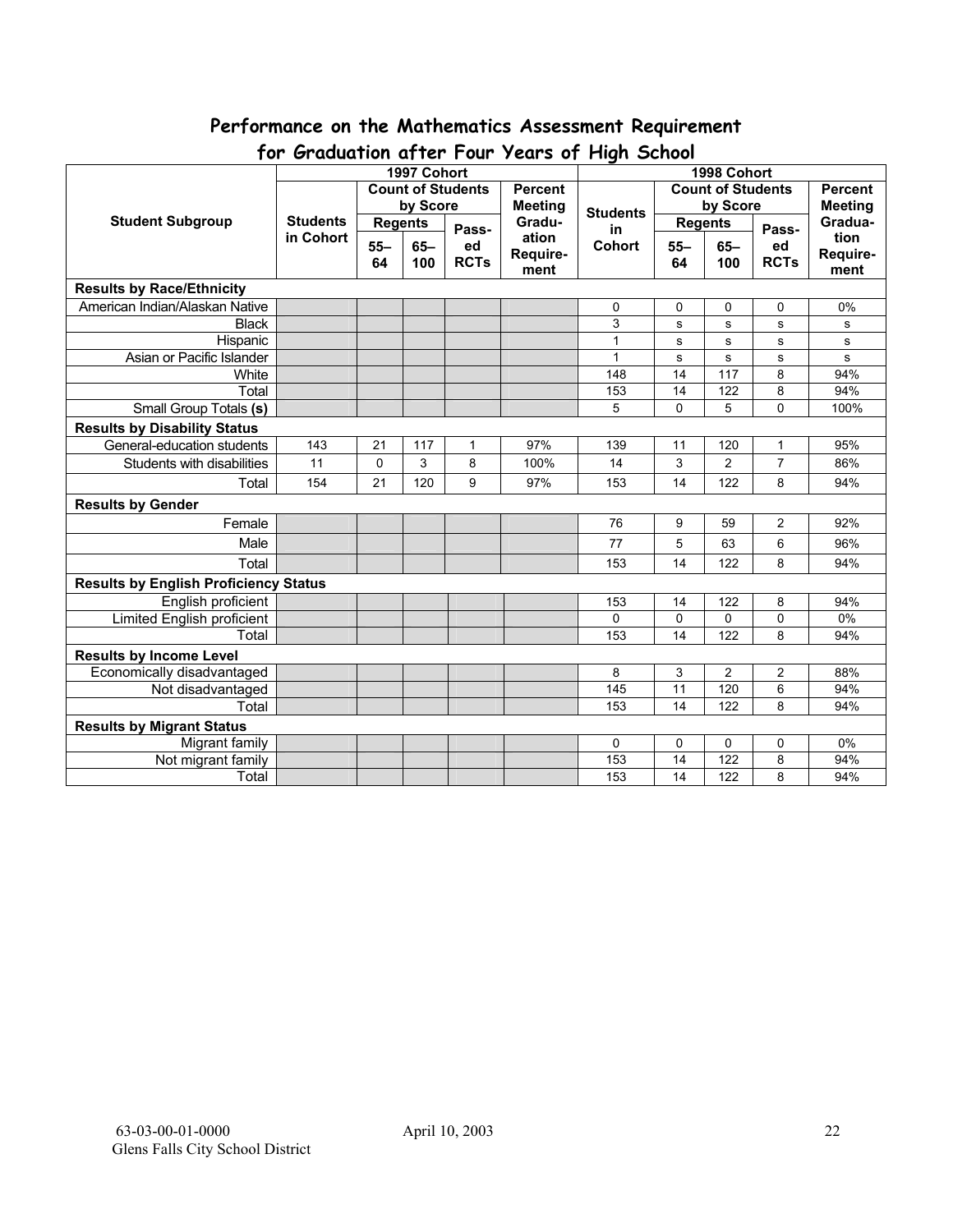## **Performance on the Mathematics Assessment Requirement**

| Cradamon and road<br><b>TEATS AT LINGH OCHOOL</b><br>1997 Cohort<br>1998 Cohort |                 |                |          |                          |                          |                 |                          |                |                |                |
|---------------------------------------------------------------------------------|-----------------|----------------|----------|--------------------------|--------------------------|-----------------|--------------------------|----------------|----------------|----------------|
|                                                                                 |                 |                |          | <b>Count of Students</b> | <b>Percent</b>           |                 | <b>Count of Students</b> |                |                | <b>Percent</b> |
|                                                                                 |                 |                | by Score |                          | <b>Meeting</b><br>Gradu- |                 |                          | by Score       |                | <b>Meeting</b> |
| <b>Student Subgroup</b>                                                         | <b>Students</b> | <b>Regents</b> |          |                          |                          | <b>Students</b> | <b>Regents</b>           |                |                | Gradua-        |
|                                                                                 | in Cohort       |                |          | Pass-                    | ation                    | in              |                          |                | Pass-          | tion           |
|                                                                                 |                 | $55 -$         | $65 -$   | ed                       | Require-                 | <b>Cohort</b>   | $55 -$                   | $65-$          | ed             | Require-       |
|                                                                                 |                 | 64             | 100      | <b>RCTs</b>              | ment                     |                 | 64                       | 100            | <b>RCTs</b>    | ment           |
| <b>Results by Race/Ethnicity</b>                                                |                 |                |          |                          |                          |                 |                          |                |                |                |
| American Indian/Alaskan Native                                                  |                 |                |          |                          |                          | 0               | 0                        | 0              | 0              | 0%             |
| <b>Black</b>                                                                    |                 |                |          |                          |                          | 3               | s                        | s              | s              | s              |
| Hispanic                                                                        |                 |                |          |                          |                          | 1               | s                        | s              | s              | s              |
| Asian or Pacific Islander                                                       |                 |                |          |                          |                          | 1               | s                        | s              | ${\bf s}$      | s              |
| White                                                                           |                 |                |          |                          |                          | 148             | 14                       | 117            | 8              | 94%            |
| Total                                                                           |                 |                |          |                          |                          | 153             | 14                       | 122            | 8              | 94%            |
| Small Group Totals (s)                                                          |                 |                |          |                          |                          | 5               | $\mathbf 0$              | 5              | 0              | 100%           |
| <b>Results by Disability Status</b>                                             |                 |                |          |                          |                          |                 |                          |                |                |                |
| General-education students                                                      | 143             | 21             | 117      | 1                        | 97%                      | 139             | 11                       | 120            | 1              | 95%            |
| Students with disabilities                                                      | 11              | $\pmb{0}$      | 3        | 8                        | 100%                     | 14              | 3                        | $\overline{2}$ | $\overline{7}$ | 86%            |
| Total                                                                           | 154             | 21             | 120      | 9                        | 97%                      | 153             | 14                       | 122            | 8              | 94%            |
| <b>Results by Gender</b>                                                        |                 |                |          |                          |                          |                 |                          |                |                |                |
| Female                                                                          |                 |                |          |                          |                          | 76              | 9                        | 59             | $\overline{2}$ | 92%            |
| Male                                                                            |                 |                |          |                          |                          | 77              | 5                        | 63             | 6              | 96%            |
| Total                                                                           |                 |                |          |                          |                          | 153             | 14                       | 122            | 8              | 94%            |
| <b>Results by English Proficiency Status</b>                                    |                 |                |          |                          |                          |                 |                          |                |                |                |
| English proficient                                                              |                 |                |          |                          |                          | 153             | 14                       | 122            | 8              | 94%            |
| Limited English proficient                                                      |                 |                |          |                          |                          | 0               | $\mathbf{0}$             | 0              | 0              | 0%             |
| Total                                                                           |                 |                |          |                          |                          | 153             | 14                       | 122            | 8              | 94%            |
| <b>Results by Income Level</b>                                                  |                 |                |          |                          |                          |                 |                          |                |                |                |
| Economically disadvantaged                                                      |                 |                |          |                          |                          | 8               | 3                        | $\overline{c}$ | 2              | 88%            |
| Not disadvantaged                                                               |                 |                |          |                          |                          | 145             | 11                       | 120            | 6              | 94%            |
| Total                                                                           |                 |                |          |                          |                          | 153             | 14                       | 122            | 8              | 94%            |
| <b>Results by Migrant Status</b>                                                |                 |                |          |                          |                          |                 |                          |                |                |                |
| Migrant family                                                                  |                 |                |          |                          |                          | 0               | 0                        | 0              | 0              | 0%             |
| Not migrant family                                                              |                 |                |          |                          |                          | 153             | 14                       | 122            | 8              | 94%            |
| Total                                                                           |                 |                |          |                          |                          | 153             | 14                       | 122            | 8              | 94%            |

## **for Graduation after Four Years of High School**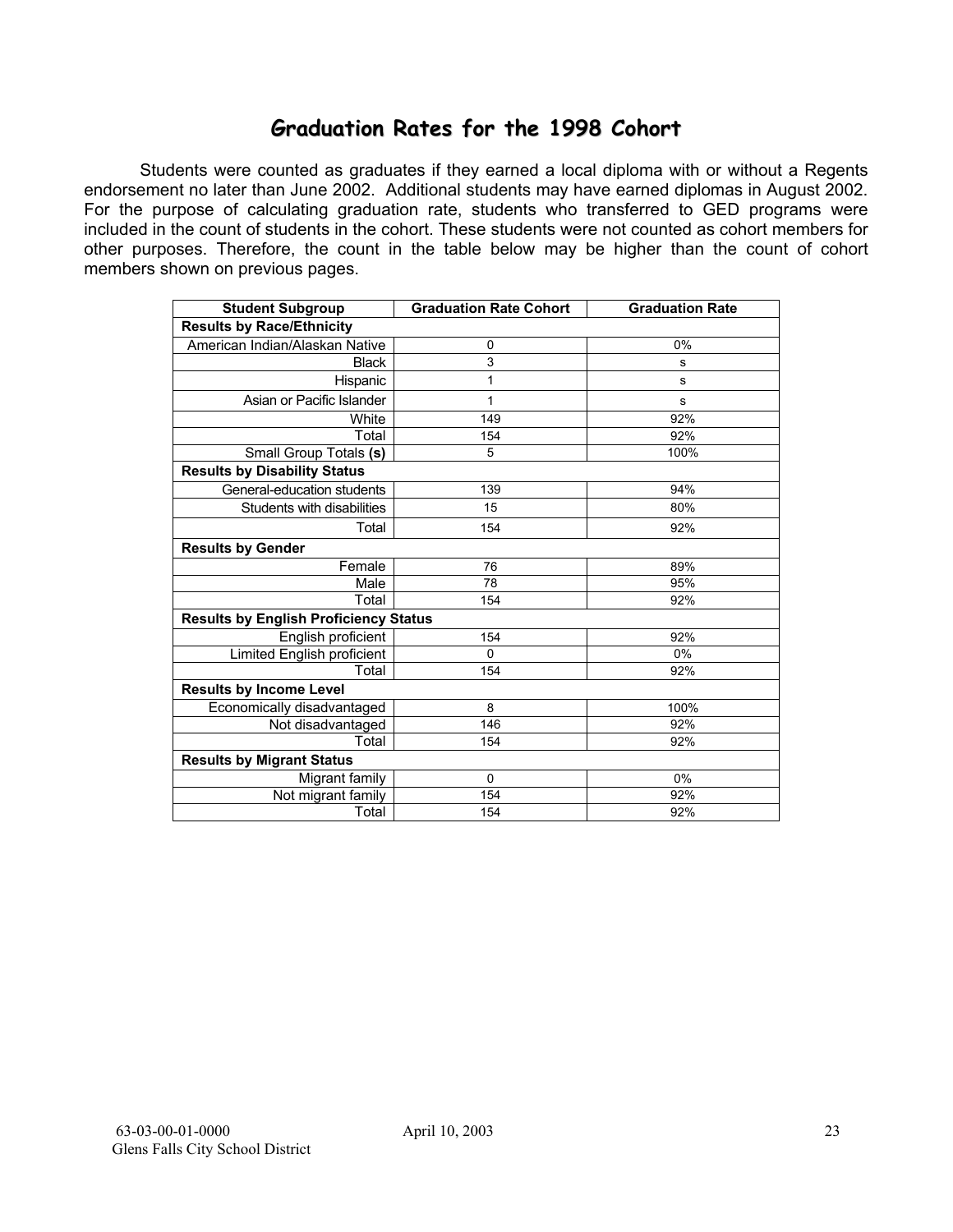### **Graduation Rates for the 1998 Cohort**

Students were counted as graduates if they earned a local diploma with or without a Regents endorsement no later than June 2002. Additional students may have earned diplomas in August 2002. For the purpose of calculating graduation rate, students who transferred to GED programs were included in the count of students in the cohort. These students were not counted as cohort members for other purposes. Therefore, the count in the table below may be higher than the count of cohort members shown on previous pages.

| <b>Student Subgroup</b>                      | <b>Graduation Rate Cohort</b> | <b>Graduation Rate</b> |
|----------------------------------------------|-------------------------------|------------------------|
| <b>Results by Race/Ethnicity</b>             |                               |                        |
| American Indian/Alaskan Native               | 0                             | 0%                     |
| <b>Black</b>                                 | 3                             | s                      |
| Hispanic                                     | 1                             | s                      |
| Asian or Pacific Islander                    | 1                             | s                      |
| White                                        | 149                           | 92%                    |
| Total                                        | 154                           | 92%                    |
| Small Group Totals (s)                       | 5                             | 100%                   |
| <b>Results by Disability Status</b>          |                               |                        |
| General-education students                   | 139                           | 94%                    |
| Students with disabilities                   | 15                            | 80%                    |
| Total                                        | 154                           | 92%                    |
| <b>Results by Gender</b>                     |                               |                        |
| Female                                       | 76                            | 89%                    |
| Male                                         | 78                            | 95%                    |
| Total                                        | 154                           | 92%                    |
| <b>Results by English Proficiency Status</b> |                               |                        |
| English proficient                           | 154                           | 92%                    |
| Limited English proficient                   | 0                             | 0%                     |
| Total                                        | 154                           | 92%                    |
| <b>Results by Income Level</b>               |                               |                        |
| Economically disadvantaged                   | 8                             | 100%                   |
| Not disadvantaged                            | 146                           | 92%                    |
| Total                                        | 154                           | 92%                    |
| <b>Results by Migrant Status</b>             |                               |                        |
| Migrant family                               | $\mathbf 0$                   | 0%                     |
| Not migrant family                           | 154                           | 92%                    |
| Total                                        | 154                           | 92%                    |